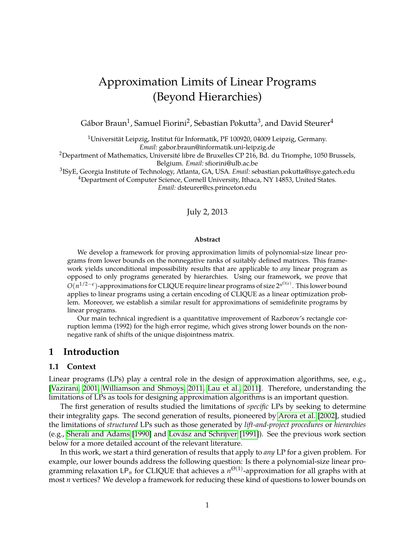# Approximation Limits of Linear Programs (Beyond Hierarchies)

Gábor Braun $^1$ , Samuel Fiorini $^2$ , Sebastian Pokutta $^3$ , and David Steurer $^4$ 

<sup>1</sup>Universität Leipzig, Institut für Informatik, PF 100920, 04009 Leipzig, Germany. *Email:* gabor.braun@informatik.uni-leipzig.de

<sup>2</sup>Department of Mathematics, Université libre de Bruxelles CP 216, Bd. du Triomphe, 1050 Brussels, Belgium. *Email:* sfiorini@ulb.ac.be

3 ISyE, Georgia Institute of Technology, Atlanta, GA, USA. *Email:* sebastian.pokutta@isye.gatech.edu <sup>4</sup>Department of Computer Science, Cornell University, Ithaca, NY 14853, United States. *Email:* dsteurer@cs.princeton.edu

#### July 2, 2013

#### **Abstract**

We develop a framework for proving approximation limits of polynomial-size linear programs from lower bounds on the nonnegative ranks of suitably defined matrices. This framework yields unconditional impossibility results that are applicable to *any* linear program as opposed to only programs generated by hierarchies. Using our framework, we prove that *O*(*n*<sup>1/2−*e*</sup>)-approximations for CLIQUE require linear programs of size 2<sup>*n*Ω(*e*)</sup>. This lower bound applies to linear programs using a certain encoding of CLIQUE as a linear optimization problem. Moreover, we establish a similar result for approximations of semidefinite programs by linear programs.

Our main technical ingredient is a quantitative improvement of Razborov's rectangle corruption lemma (1992) for the high error regime, which gives strong lower bounds on the nonnegative rank of shifts of the unique disjointness matrix.

# **1 Introduction**

#### **1.1 Context**

Linear programs (LPs) play a central role in the design of approximation algorithms, see, e.g., [\[Vazirani, 2001,](#page-22-0) [Williamson and Shmoys, 2011,](#page-22-1) [Lau et al., 2011\]](#page-22-2). Therefore, understanding the limitations of LPs as tools for designing approximation algorithms is an important question.

The first generation of results studied the limitations of *specific* LPs by seeking to determine their integrality gaps. The second generation of results, pioneered by [Arora et al.](#page-20-0) [\[2002\]](#page-20-0), studied the limitations of *structured* LPs such as those generated by *lift-and-project procedures* or *hierarchies* (e.g., [Sherali and Adams](#page-22-3) [\[1990\]](#page-22-3) and [Lovász and Schrijver](#page-22-4) [\[1991\]](#page-22-4)). See the previous work section below for a more detailed account of the relevant literature.

In this work, we start a third generation of results that apply to *any* LP for a given problem. For example, our lower bounds address the following question: Is there a polynomial-size linear programming relaxation  $\mathsf{LP}_n$  for CLIQUE that achieves a  $n^{\Theta(1)}$ -approximation for all graphs with at most *n* vertices? We develop a framework for reducing these kind of questions to lower bounds on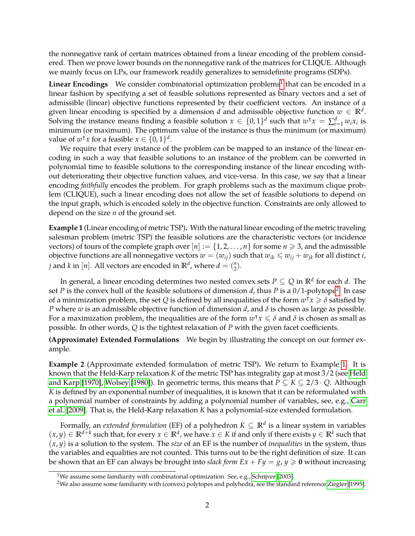the nonnegative rank of certain matrices obtained from a linear encoding of the problem considered. Then we prove lower bounds on the nonnegative rank of the matrices for CLIQUE. Although we mainly focus on LPs, our framework readily generalizes to semidefinite programs (SDPs).

**Linear Encodings** We consider combinatorial optimization problems<sup>[1](#page-1-0)</sup> that can be encoded in a linear fashion by specifying a set of feasible solutions represented as binary vectors and a set of admissible (linear) objective functions represented by their coefficient vectors. An instance of a given linear encoding is specified by a dimension  $d$  and admissible objective function  $w \in \mathbb{R}^d$ . Solving the instance means finding a feasible solution  $x \in \{0,1\}^d$  such that  $w^{\intercal}x = \sum_{i=1}^d w_i x_i$  is minimum (or maximum). The optimum value of the instance is thus the minimum (or maximum) value of  $w^{\dagger}x$  for a feasible  $x \in \{0,1\}^d$ .

We require that every instance of the problem can be mapped to an instance of the linear encoding in such a way that feasible solutions to an instance of the problem can be converted in polynomial time to feasible solutions to the corresponding instance of the linear encoding without deteriorating their objective function values, and vice-versa. In this case, we say that a linear encoding *faithfully* encodes the problem. For graph problems such as the maximum clique problem (CLIQUE), such a linear encoding does not allow the set of feasible solutions to depend on the input graph, which is encoded solely in the objective function. Constraints are only allowed to depend on the size *n* of the ground set.

<span id="page-1-2"></span>**Example 1** (Linear encoding of metric TSP)**.** With the natural linear encoding of the metric traveling salesman problem (metric TSP) the feasible solutions are the characteristic vectors (or incidence vectors) of tours of the complete graph over  $[n] := \{1, 2, ..., n\}$  for some  $n \geq 3$ , and the admissible objective functions are all nonnegative vectors  $w = (w_{ij})$  such that  $w_{ik} \leq w_{ij} + w_{jk}$  for all distinct *i*, *j* and *k* in [*n*]. All vectors are encoded in  $\mathbb{R}^d$ , where  $d = \binom{n}{2}$  $_{2}^{n}).$ 

In general, a linear encoding determines two nested convex sets  $P \subseteq Q$  in  $\mathbb{R}^d$  for each  $d.$  The set *P* is the convex hull of the feasible solutions of dimension *d*, thus *P* is a 0/1-polytope<sup>[2](#page-1-1)</sup>. In case of a minimization problem, the set  $Q$  is defined by all inequalities of the form  $w^\intercal x \geqslant \delta$  satisfied by *P* where *w* is an admissible objective function of dimension *d*, and *δ* is chosen as large as possible. For a maximization problem, the inequalities are of the form  $w^{\intercal}x \leqslant \delta$  and  $\delta$  is chosen as small as possible. In other words, *Q* is the tightest relaxation of *P* with the given facet coefficients.

**(Approximate) Extended Formulations** We begin by illustrating the concept on our former example.

**Example 2** (Approximate extended formulation of metric TSP)**.** We return to Example [1.](#page-1-2) It is known that the Held-Karp relaxation *K* of the metric TSP has integrality gap at most 3/2 (see [Held](#page-21-0) [and Karp](#page-21-0) [\[1970\]](#page-21-0), [Wolsey](#page-22-5) [\[1980\]](#page-22-5)). In geometric terms, this means that  $P \subseteq K \subseteq 2/3 \cdot Q$ . Although *K* is defined by an exponential number of inequalities, it is known that it can be reformulated with a polynomial number of constraints by adding a polynomial number of variables, see, e.g., [Carr](#page-21-1) [et al.](#page-21-1) [\[2009\]](#page-21-1). That is, the Held-Karp relaxation *K* has a polynomial-size extended formulation.

Formally, an *extended formulation* (EF) of a polyhedron *K* ⊆ **R***<sup>d</sup>* is a linear system in variables  $(x, y) \in \mathbb{R}^{d+k}$  such that, for every  $x \in \mathbb{R}^d$ , we have  $x \in K$  if and only if there exists  $y \in \mathbb{R}^k$  such that  $(x, y)$  is a solution to the system. The *size* of an EF is the number of *inequalities* in the system, thus the variables and equalities are not counted. This turns out to be the right definition of size. It can be shown that an EF can always be brought into *slack form*  $Ex + Fy = g$ ,  $y \ge 0$  without increasing

<span id="page-1-0"></span><sup>&</sup>lt;sup>1</sup>We assume some familiarity with combinatorial optimization. See, e.g., [Schrijver](#page-22-6) [\[2003\]](#page-22-6).

<span id="page-1-1"></span><sup>&</sup>lt;sup>2</sup>We also assume some familiarity with (convex) polytopes and polyhedra, see the standard reference [Ziegler](#page-23-0) [\[1995\]](#page-23-0).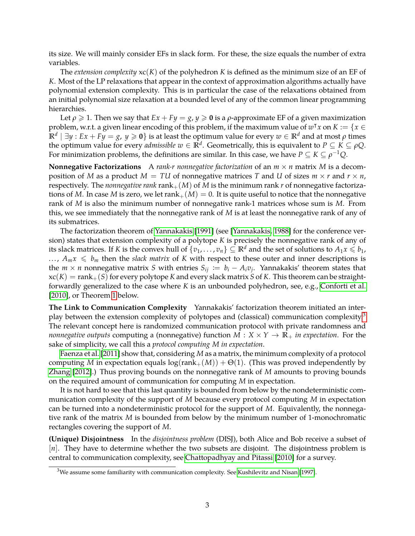its size. We will mainly consider EFs in slack form. For these, the size equals the number of extra variables.

The *extension complexity* xc(*K*) of the polyhedron *K* is defined as the minimum size of an EF of *K*. Most of the LP relaxations that appear in the context of approximation algorithms actually have polynomial extension complexity. This is in particular the case of the relaxations obtained from an initial polynomial size relaxation at a bounded level of any of the common linear programming hierarchies.

Let  $\rho \geq 1$ . Then we say that  $Ex + Fy = g$ ,  $y \geq 0$  is a  $\rho$ -approximate EF of a given maximization problem, w.r.t. a given linear encoding of this problem, if the maximum value of  $w^{\intercal}x$  on  $K := \{x \in$  $\mathbf{R}^d \mid \exists y: E x + F y = g, y \geqslant \mathbf{0} \}$  is at least the optimum value for every  $w \in \mathbb{R}^d$  and at most  $\rho$  times the optimum value for every *admissible*  $w \in \mathbb{R}^d$ . Geometrically, this is equivalent to  $P \subseteq K \subseteq \rho Q$ . For minimization problems, the definitions are similar. In this case, we have  $P \subseteq K \subseteq \rho^{-1}Q$ .

**Nonnegative Factorizations** A *rank-r nonnegative factorization* of an *m* × *n* matrix *M* is a decomposition of *M* as a product  $M = T U$  of nonnegative matrices *T* and *U* of sizes  $m \times r$  and  $r \times n$ , respectively. The *nonnegative rank* rank $+(M)$  of *M* is the minimum rank *r* of nonnegative factorizations of M. In case M is zero, we let  $rank_{+}(M) = 0$ . It is quite useful to notice that the nonnegative rank of *M* is also the minimum number of nonnegative rank-1 matrices whose sum is *M*. From this, we see immediately that the nonnegative rank of *M* is at least the nonnegative rank of any of its submatrices.

The factorization theorem of [Yannakakis](#page-22-7) [\[1991\]](#page-22-7) (see [\[Yannakakis, 1988\]](#page-22-8) for the conference version) states that extension complexity of a polytope *K* is precisely the nonnegative rank of any of its slack matrices. If *K* is the convex hull of  $\{v_1, \ldots, v_n\} \subseteq \mathbb{R}^d$  and the set of solutions to  $A_1 x \leq b_1$ , ...,  $A_m x \leq b_m$  then the *slack matrix* of *K* with respect to these outer and inner descriptions is the  $m \times n$  nonnegative matrix *S* with entries  $S_{ij} := b_i - A_i v_j$ . Yannakakis' theorem states that  $xc(K) = rank_{+}(S)$  for every polytope *K* and every slack matrix *S* of *K*. This theorem can be straightforwardly generalized to the case where *K* is an unbounded polyhedron, see, e.g., [Conforti et al.](#page-21-2) [\[2010\]](#page-21-2), or Theorem [1](#page-7-0) below.

**The Link to Communication Complexity** Yannakakis' factorization theorem initiated an inter-play between the extension complexity of polytopes and (classical) communication complexity.<sup>[3](#page-2-0)</sup> The relevant concept here is randomized communication protocol with private randomness and *nonnegative outputs* computing a (nonnegative) function  $M: X \times Y \to \mathbb{R}_+$  *in expectation*. For the sake of simplicity, we call this a *protocol computing M in expectation*.

[Faenza et al.](#page-21-3) [\[2011\]](#page-21-3) show that, considering *M* as a matrix, the minimum complexity of a protocol computing *M* in expectation equals  $log(rank_{+}(M)) + \Theta(1)$ . (This was proved independently by [Zhang](#page-22-9) [\[2012\]](#page-22-9).) Thus proving bounds on the nonnegative rank of *M* amounts to proving bounds on the required amount of communication for computing *M* in expectation.

It is not hard to see that this last quantity is bounded from below by the nondeterministic communication complexity of the support of *M* because every protocol computing *M* in expectation can be turned into a nondeterministic protocol for the support of *M*. Equivalently, the nonnegative rank of the matrix *M* is bounded from below by the minimum number of 1-monochromatic rectangles covering the support of *M*.

**(Unique) Disjointness** In the *disjointness problem* (DISJ), both Alice and Bob receive a subset of [*n*]. They have to determine whether the two subsets are disjoint. The disjointness problem is central to communication complexity, see [Chattopadhyay and Pitassi](#page-21-4) [\[2010\]](#page-21-4) for a survey.

<span id="page-2-0"></span><sup>3</sup>We assume some familiarity with communication complexity. See [Kushilevitz and Nisan](#page-21-5) [\[1997\]](#page-21-5).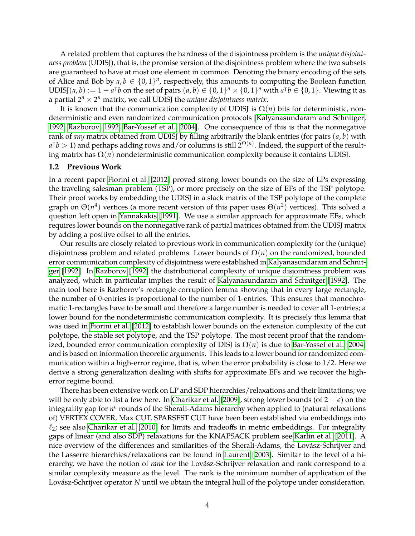A related problem that captures the hardness of the disjointness problem is the *unique disjointness problem* (UDISJ), that is, the promise version of the disjointness problem where the two subsets are guaranteed to have at most one element in common. Denoting the binary encoding of the sets of Alice and Bob by  $a, b \in \{0, 1\}^n$ , respectively, this amounts to computing the Boolean function UDISJ(*a*, *b*) :=  $1 - a^Tb$  on the set of pairs  $(a, b) \in \{0, 1\}^n \times \{0, 1\}^n$  with  $a^Tb \in \{0, 1\}$ . Viewing it as a partial  $2^n \times 2^n$  matrix, we call UDISJ the *unique disjointness matrix*.

It is known that the communication complexity of UDISJ is  $\Omega(n)$  bits for deterministic, nondeterministic and even randomized communication protocols [\[Kalyanasundaram and Schnitger,](#page-21-6) [1992,](#page-21-6) [Razborov, 1992,](#page-22-10) [Bar-Yossef et al., 2004\]](#page-20-1). One consequence of this is that the nonnegative rank of *any* matrix obtained from UDISJ by filling arbitrarily the blank entries (for pairs (*a*, *b*) with  $a^{\dagger}b > 1$  and perhaps adding rows and/or columns is still  $2^{\Omega(n)}$ . Indeed, the support of the resulting matrix has  $Ω(n)$  nondeterministic communication complexity because it contains UDISJ.

#### **1.2 Previous Work**

In a recent paper [Fiorini et al.](#page-21-7) [\[2012\]](#page-21-7) proved strong lower bounds on the size of LPs expressing the traveling salesman problem (TSP), or more precisely on the size of EFs of the TSP polytope. Their proof works by embedding the UDISJ in a slack matrix of the TSP polytope of the complete graph on  $\Theta(n^4)$  vertices (a more recent version of this paper uses  $\Theta(n^2)$  vertices). This solved a question left open in [Yannakakis](#page-22-7) [\[1991\]](#page-22-7). We use a similar approach for approximate EFs, which requires lower bounds on the nonnegative rank of partial matrices obtained from the UDISJ matrix by adding a positive offset to all the entries.

Our results are closely related to previous work in communication complexity for the (unique) disjointness problem and related problems. Lower bounds of Ω(*n*) on the randomized, bounded error communication complexity of disjointness were established in [Kalyanasundaram and Schnit](#page-21-6)[ger](#page-21-6) [\[1992\]](#page-21-6). In [Razborov](#page-22-10) [\[1992\]](#page-22-10) the distributional complexity of unique disjointness problem was analyzed, which in particular implies the result of [Kalyanasundaram and Schnitger](#page-21-6) [\[1992\]](#page-21-6). The main tool here is Razborov's rectangle corruption lemma showing that in every large rectangle, the number of 0-entries is proportional to the number of 1-entries. This ensures that monochromatic 1-rectangles have to be small and therefore a large number is needed to cover all 1-entries; a lower bound for the nondeterministic communication complexity. It is precisely this lemma that was used in [Fiorini et al.](#page-21-7) [\[2012\]](#page-21-7) to establish lower bounds on the extension complexity of the cut polytope, the stable set polytope, and the TSP polytope. The most recent proof that the randomized, bounded error communication complexity of DISJ is  $\Omega(n)$  is due to [Bar-Yossef et al.](#page-20-1) [\[2004\]](#page-20-1) and is based on information theoretic arguments. This leads to a lower bound for randomized communication within a high-error regime, that is, when the error probability is close to 1/2. Here we derive a strong generalization dealing with shifts for approximate EFs and we recover the higherror regime bound.

There has been extensive work on LP and SDP hierarchies/relaxations and their limitations; we will be only able to list a few here. In [Charikar et al.](#page-21-8) [\[2009\]](#page-21-8), strong lower bounds (of 2 − *e*) on the integrality gap for  $n^{\epsilon}$  rounds of the Sherali-Adams hierarchy when applied to (natural relaxations of) VERTEX COVER, Max CUT, SPARSEST CUT have been been established via embeddings into  $\ell_2$ ; see also [Charikar et al.](#page-21-9) [\[2010\]](#page-21-9) for limits and tradeoffs in metric embeddings. For integrality gaps of linear (and also SDP) relaxations for the KNAPSACK problem see [Karlin et al.](#page-21-10) [\[2011\]](#page-21-10). A nice overview of the differences and similarities of the Sherali-Adams, the Lovász-Schrijver and the Lasserre hierarchies/relaxations can be found in [Laurent](#page-22-11) [\[2003\]](#page-22-11). Similar to the level of a hierarchy, we have the notion of *rank* for the Lovász-Schrijver relaxation and rank correspond to a similar complexity measure as the level. The rank is the minimum number of application of the Lovász-Schrijver operator *N* until we obtain the integral hull of the polytope under consideration.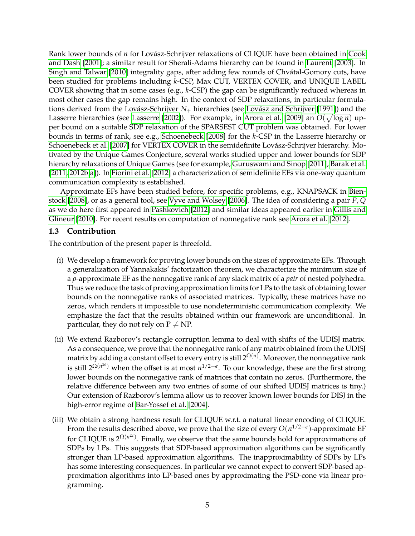Rank lower bounds of *n* for Lovász-Schrijver relaxations of CLIQUE have been obtained in [Cook](#page-21-11) [and Dash](#page-21-11) [\[2001\]](#page-21-11); a similar result for Sherali-Adams hierarchy can be found in [Laurent](#page-22-11) [\[2003\]](#page-22-11). In [Singh and Talwar](#page-22-12) [\[2010\]](#page-22-12) integrality gaps, after adding few rounds of Chvátal-Gomory cuts, have been studied for problems including *k*-CSP, Max CUT, VERTEX COVER, and UNIQUE LABEL COVER showing that in some cases (e.g., *k*-CSP) the gap can be significantly reduced whereas in most other cases the gap remains high. In the context of SDP relaxations, in particular formulations derived from the Lovász-Schrijver *N*+ hierarchies (see [Lovász and Schrijver](#page-22-4) [\[1991\]](#page-22-4)) and the Lasserre hierarchies (see [Lasserre](#page-22-13) [\[2002\]](#page-22-13)). For example, in [Arora et al.](#page-20-2) [\[2009\]](#page-20-2) an  $O(\sqrt{\log n})$  upper bound on a suitable SDP relaxation of the SPARSEST CUT problem was obtained. For lower bounds in terms of rank, see e.g., [Schoenebeck](#page-22-14) [\[2008\]](#page-22-14) for the *k*-CSP in the Lasserre hierarchy or [Schoenebeck et al.](#page-22-15) [\[2007\]](#page-22-15) for VERTEX COVER in the semidefinite Lovász-Schrijver hierarchy. Motivated by the Unique Games Conjecture, several works studied upper and lower bounds for SDP hierarchy relaxations of Unique Games (see for example, [Guruswami and Sinop](#page-21-12) [\[2011\]](#page-21-12), [Barak et al.](#page-20-3) [\[2011,](#page-20-3) [2012b](#page-20-4)[,a\]](#page-20-5)). In [Fiorini et al.](#page-21-7) [\[2012\]](#page-21-7) a characterization of semidefinite EFs via one-way quantum communication complexity is established.

Approximate EFs have been studied before, for specific problems, e.g., KNAPSACK in [Bien](#page-20-6)[stock](#page-20-6) [\[2008\]](#page-20-6), or as a general tool, see [Vyve and Wolsey](#page-22-16) [\[2006\]](#page-22-16). The idea of considering a pair *P*, *Q* as we do here first appeared in [Pashkovich](#page-22-17) [\[2012\]](#page-22-17) and similar ideas appeared earlier in [Gillis and](#page-21-13) [Glineur](#page-21-13) [\[2010\]](#page-21-13). For recent results on computation of nonnegative rank see [Arora et al.](#page-20-7) [\[2012\]](#page-20-7).

### **1.3 Contribution**

The contribution of the present paper is threefold.

- (i) We develop a framework for proving lower bounds on the sizes of approximate EFs. Through a generalization of Yannakakis' factorization theorem, we characterize the minimum size of a *ρ*-approximate EF as the nonnegative rank of any slack matrix of a *pair* of nested polyhedra. Thus we reduce the task of proving approximation limits for LPs to the task of obtaining lower bounds on the nonnegative ranks of associated matrices. Typically, these matrices have no zeros, which renders it impossible to use nondeterministic communication complexity. We emphasize the fact that the results obtained within our framework are unconditional. In particular, they do not rely on  $P \neq NP$ .
- (ii) We extend Razborov's rectangle corruption lemma to deal with shifts of the UDISJ matrix. As a consequence, we prove that the nonnegative rank of any matrix obtained from the UDISJ matrix by adding a constant offset to every entry is still  $2^{\Omega(n)}.$  Moreover, the nonnegative rank is still  $2^{\Omega(n^{2\epsilon})}$  when the offset is at most  $n^{1/2-\epsilon}$ . To our knowledge, these are the first strong lower bounds on the nonnegative rank of matrices that contain no zeros. (Furthermore, the relative difference between any two entries of some of our shifted UDISJ matrices is tiny.) Our extension of Razborov's lemma allow us to recover known lower bounds for DISJ in the high-error regime of [Bar-Yossef et al.](#page-20-1) [\[2004\]](#page-20-1).
- (iii) We obtain a strong hardness result for CLIQUE w.r.t. a natural linear encoding of CLIQUE. From the results described above, we prove that the size of every *O*(*n* 1/2−*e* )-approximate EF for CLIQUE is  $2^{\Omega(n^{2\epsilon})}$ . Finally, we observe that the same bounds hold for approximations of SDPs by LPs. This suggests that SDP-based approximation algorithms can be significantly stronger than LP-based approximation algorithms. The inapproximability of SDPs by LPs has some interesting consequences. In particular we cannot expect to convert SDP-based approximation algorithms into LP-based ones by approximating the PSD-cone via linear programming.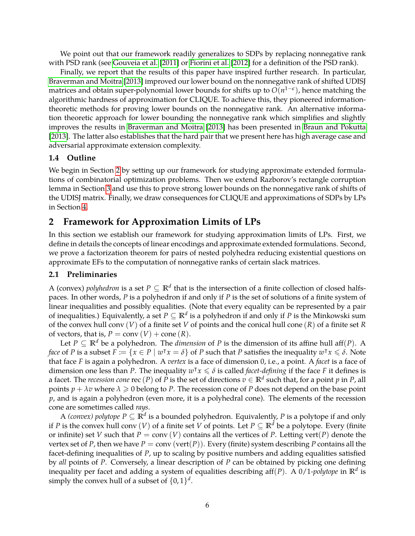We point out that our framework readily generalizes to SDPs by replacing nonnegative rank with PSD rank (see [Gouveia et al.](#page-21-14) [\[2011\]](#page-21-14) or [Fiorini et al.](#page-21-7) [\[2012\]](#page-21-7) for a definition of the PSD rank).

Finally, we report that the results of this paper have inspired further research. In particular, [Braverman and Moitra](#page-20-8) [\[2013\]](#page-20-8) improved our lower bound on the nonnegative rank of shifted UDISJ matrices and obtain super-polynomial lower bounds for shifts up to *O*(*n* 1−*e* ), hence matching the algorithmic hardness of approximation for CLIQUE. To achieve this, they pioneered informationtheoretic methods for proving lower bounds on the nonnegative rank. An alternative information theoretic approach for lower bounding the nonnegative rank which simplifies and slightly improves the results in [Braverman and Moitra](#page-20-8) [\[2013\]](#page-20-8) has been presented in [Braun and Pokutta](#page-20-9) [\[2013\]](#page-20-9). The latter also establishes that the hard pair that we present here has high average case and adversarial approximate extension complexity.

# **1.4 Outline**

We begin in Section [2](#page-5-0) by setting up our framework for studying approximate extended formulations of combinatorial optimization problems. Then we extend Razborov's rectangle corruption lemma in Section [3](#page-10-0) and use this to prove strong lower bounds on the nonnegative rank of shifts of the UDISJ matrix. Finally, we draw consequences for CLIQUE and approximations of SDPs by LPs in Section [4.](#page-17-0)

# <span id="page-5-0"></span>**2 Framework for Approximation Limits of LPs**

In this section we establish our framework for studying approximation limits of LPs. First, we define in details the concepts of linear encodings and approximate extended formulations. Second, we prove a factorization theorem for pairs of nested polyhedra reducing existential questions on approximate EFs to the computation of nonnegative ranks of certain slack matrices.

### **2.1 Preliminaries**

A (convex) *polyhedron* is a set  $P \subseteq \mathbb{R}^d$  that is the intersection of a finite collection of closed halfspaces. In other words, *P* is a polyhedron if and only if *P* is the set of solutions of a finite system of linear inequalities and possibly equalities. (Note that every equality can be represented by a pair of inequalities.) Equivalently, a set *P* ⊆ **R***<sup>d</sup>* is a polyhedron if and only if *P* is the Minkowski sum of the convex hull conv (*V*) of a finite set *V* of points and the conical hull cone (*R*) of a finite set *R* of vectors, that is,  $P = \text{conv}(V) + \text{cone}(R)$ .

Let  $P \subseteq \mathbb{R}^d$  be a polyhedron. The *dimension* of *P* is the dimension of its affine hull aff(*P*). A *face* of *P* is a subset  $F := \{x \in P \mid w^\intercal x = \delta\}$  of *P* such that *P* satisfies the inequality  $w^\intercal x \leq \delta$ . Note that face *F* is again a polyhedron. A *vertex* is a face of dimension 0, i.e., a point. A *facet* is a face of dimension one less than *P*. The inequality  $w^{\intercal}x \leqslant \delta$  is called *facet-defining* if the face *F* it defines is a facet. The *recession cone*  $\text{rec}\,(P)$  of  $P$  is the set of directions  $v\in\mathbb{R}^d$  such that, for a point  $p$  in  $P$ , all points  $p + \lambda v$  where  $\lambda \geq 0$  belong to P. The recession cone of P does not depend on the base point *p*, and is again a polyhedron (even more, it is a polyhedral cone). The elements of the recession cone are sometimes called *rays*.

A *(convex) polytope*  $P \subseteq \mathbb{R}^d$  *is a bounded polyhedron. Equivalently,*  $P$  *is a polytope if and only* if *P* is the convex hull conv (*V*) of a finite set *V* of points. Let  $P \subseteq \mathbb{R}^d$  be a polytope. Every (finite or infinite) set *V* such that  $P = \text{conv}(V)$  contains all the vertices of *P*. Letting vert(*P*) denote the vertex set of P, then we have  $P = \text{conv}(\text{vert}(P))$ . Every (finite) system describing P contains all the facet-defining inequalities of *P*, up to scaling by positive numbers and adding equalities satisfied by *all* points of *P*. Conversely, a linear description of *P* can be obtained by picking one defining inequality per facet and adding a system of equalities describing aff(*P*). A 0/1*-polytope* in **R***<sup>d</sup>* is simply the convex hull of a subset of  $\{0,1\}^d$ .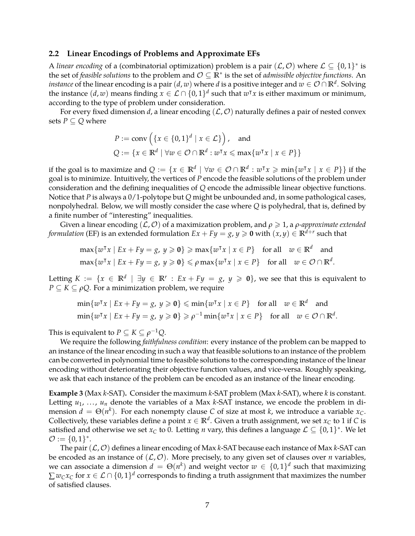#### **2.2 Linear Encodings of Problems and Approximate EFs**

A *linear encoding* of a (combinatorial optimization) problem is a pair  $(\mathcal{L}, \mathcal{O})$  where  $\mathcal{L} \subseteq \{0, 1\}^*$  is the set of *feasible solutions* to the problem and O ⊆ **R**<sup>∗</sup> is the set of *admissible objective functions*. An  $i$ nstance of the linear encoding is a pair  $(d,w)$  where  $d$  is a positive integer and  $w\in\mathcal{O}\cap\mathbb{R}^d.$  Solving the instance  $(d, w)$  means finding  $x \in \mathcal{L} \cap \{0, 1\}^d$  such that  $w^{\intercal}x$  is either maximum or minimum, according to the type of problem under consideration.

For every fixed dimension *d*, a linear encoding  $(L, O)$  naturally defines a pair of nested convex sets  $P \subseteq Q$  where

$$
P := \text{conv}\left(\{x \in \{0,1\}^d \mid x \in \mathcal{L}\}\right), \text{ and}
$$
  

$$
Q := \{x \in \mathbb{R}^d \mid \forall w \in \mathcal{O} \cap \mathbb{R}^d : w^\intercal x \le \max\{w^\intercal x \mid x \in P\}\}
$$

if the goal is to maximize and  $Q := \{x \in \mathbb{R}^d \mid \forall w \in \mathcal{O} \cap \mathbb{R}^d : w^\intercal x \geqslant \min\{w^\intercal x \mid x \in P\}\}$  if the goal is to minimize. Intuitively, the vertices of *P* encode the feasible solutions of the problem under consideration and the defining inequalities of *Q* encode the admissible linear objective functions. Notice that *P* is always a 0/1-polytope but *Q* might be unbounded and, in some pathological cases, nonpolyhedral. Below, we will mostly consider the case where *Q* is polyhedral, that is, defined by a finite number of "interesting" inequalities.

Given a linear encoding (L, O) of a maximization problem, and *ρ* > 1, a *ρ-approximate extended formulation* (EF) is an extended formulation  $Ex + Fy = g$ ,  $y \ge 0$  with  $(x, y) \in \mathbb{R}^{d+r}$  such that

$$
\max\{w^{\mathsf{T}}x \mid Ex + Fy = g, y \geq 0\} \geq \max\{w^{\mathsf{T}}x \mid x \in P\} \text{ for all } w \in \mathbb{R}^d \text{ and }
$$

$$
\max\{w^{\mathsf{T}}x \mid Ex + Fy = g, y \geq 0\} \leq \rho \max\{w^{\mathsf{T}}x \mid x \in P\} \text{ for all } w \in \mathcal{O} \cap \mathbb{R}^d.
$$

Letting  $K := \{x \in \mathbb{R}^d \mid \exists y \in \mathbb{R}^r : Ex + Fy = g, y \geq 0\}$ , we see that this is equivalent to *P*  $\subseteq$  *K*  $\subseteq$  *ρQ*. For a minimization problem, we require

$$
\min\{w^{\intercal}x \mid Ex + Fy = g, y \geq 0\} \leq \min\{w^{\intercal}x \mid x \in P\} \quad \text{for all} \quad w \in \mathbb{R}^d \quad \text{and}
$$
  

$$
\min\{w^{\intercal}x \mid Ex + Fy = g, y \geq 0\} \geq \rho^{-1} \min\{w^{\intercal}x \mid x \in P\} \quad \text{for all} \quad w \in \mathcal{O} \cap \mathbb{R}^d.
$$

This is equivalent to  $P \subseteq K \subseteq \rho^{-1}Q$ .

We require the following *faithfulness condition*: every instance of the problem can be mapped to an instance of the linear encoding in such a way that feasible solutions to an instance of the problem can be converted in polynomial time to feasible solutions to the corresponding instance of the linear encoding without deteriorating their objective function values, and vice-versa. Roughly speaking, we ask that each instance of the problem can be encoded as an instance of the linear encoding.

**Example 3** (Max *k*-SAT)**.** Consider the maximum *k*-SAT problem (Max *k*-SAT), where *k* is constant. Letting  $u_1, \ldots, u_n$  denote the variables of a Max *k*-SAT instance, we encode the problem in dimension  $d = \Theta(n^k)$ . For each nonempty clause C of size at most *k*, we introduce a variable  $x_C$ . Collectively, these variables define a point  $x \in \mathbb{R}^d$ . Given a truth assignment, we set  $x_C$  to 1 if C is satisfied and otherwise we set  $x_C$  to 0. Letting *n* vary, this defines a language  $\mathcal{L} \subseteq \{0,1\}^*$ . We let  $\mathcal{O} := \{0,1\}^*.$ 

The pair (L, O) defines a linear encoding of Max *k*-SAT because each instance of Max *k*-SAT can be encoded as an instance of  $(L, O)$ . More precisely, to any given set of clauses over *n* variables, we can associate a dimension  $d = \Theta(n^k)$  and weight vector  $w \in \{0,1\}^d$  such that maximizing  $\sum w_Cx_C$  for  $x\in\mathcal{L}\cap\{0,1\}^d$  corresponds to finding a truth assignment that maximizes the number of satisfied clauses.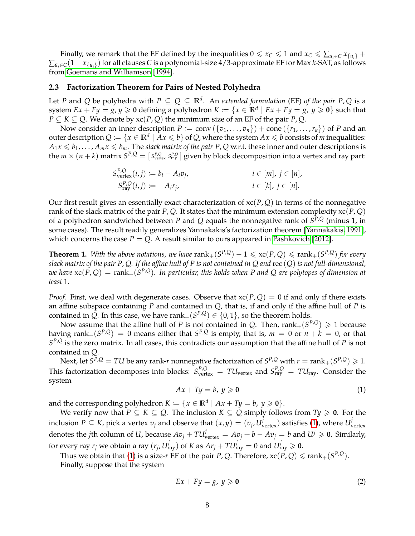Finally, we remark that the EF defined by the inequalities  $0 \le x_C \le 1$  and  $x_C \le \sum_{u_i \in C} x_{\{u_i\}} +$ ∑*u*¯*i*∈*C*(1− *x*{*ui*} )for all clauses *C* is a polynomial-size 4/3-approximate EF for Max *k*-SAT, as follows from [Goemans and Williamson](#page-21-15) [\[1994\]](#page-21-15).

#### **2.3 Factorization Theorem for Pairs of Nested Polyhedra**

Let *P* and *Q* be polyhedra with  $P \subseteq Q \subseteq \mathbb{R}^d$ . An *extended formulation* (EF) *of the pair P*, *Q* is a system  $Ex + Fy = g$ ,  $y \ge 0$  defining a polyhedron  $K \coloneqq \{x \in \mathbb{R}^d \mid Ex + Fy = g$ ,  $y \ge 0\}$  such that *P* ⊆ *K* ⊆ *Q*. We denote by  $x c(P, Q)$  the minimum size of an EF of the pair *P*, *Q*.

Now consider an inner description  $P := \text{conv}(\{v_1, \ldots, v_n\}) + \text{cone}(\{r_1, \ldots, r_k\})$  of *P* and an outer description  $Q := \{x \in \mathbb{R}^d \mid A x \leqslant b\}$  of  $Q$ , where the system  $Ax \leqslant b$  consists of *m* inequalities:  $A_1x \le b_1, \ldots, A_mx \le b_m$ . The *slack matrix of the pair P*, *Q* w.r.t. these inner and outer descriptions is the  $m\times (n+k)$  matrix  $S^{P,Q}=[\,S^{P,Q}_{\rm vertex}\,S^{P,Q}_{\rm ray}]$  given by block decomposition into a vertex and ray part:

$$
S_{\text{vertex}}^{P,Q}(i,j) := b_i - A_i v_j, \qquad i \in [m], j \in [n],
$$
  
\n
$$
S_{\text{ray}}^{P,Q}(i,j) := -A_i r_j, \qquad i \in [k], j \in [n].
$$

Our first result gives an essentially exact characterization of xc(*P*, *Q*) in terms of the nonnegative rank of the slack matrix of the pair *P*, *Q*. It states that the minimum extension complexity xc(*P*, *Q*) of a polyhedron sandwiched between *P* and *Q* equals the nonnegative rank of *S <sup>P</sup>*,*<sup>Q</sup>* (minus 1, in some cases). The result readily generalizes Yannakakis's factorization theorem [\[Yannakakis, 1991\]](#page-22-7), which concerns the case  $P = Q$ . A result similar to ours appeared in [Pashkovich](#page-22-17) [\[2012\]](#page-22-17).

<span id="page-7-0"></span>**Theorem 1.** With the above notations, we have  $rank_+(S^{P,Q}) - 1 \leqslant xc(P,Q) \leqslant rank_+(S^{P,Q})$  for every *slack matrix of the pair P*, *Q. If the affine hull of P is not contained in Q and* rec (*Q*) *is not full-dimensional,*  $\Delta w$ e have  $\mathrm{xc}(P,Q) = \mathrm{rank}_+(S^{P,Q}).$  In particular, this holds when P and Q are polytopes of dimension at *least* 1*.*

*Proof.* First, we deal with degenerate cases. Observe that  $xc(P,Q) = 0$  if and only if there exists an affine subspace containing *P* and contained in *Q*, that is, if and only if the affine hull of *P* is contained in Q. In this case, we have  $\text{rank}_+(S^{P,Q}) \in \{0,1\}$ , so the theorem holds.

Now assume that the affine hull of *P* is not contained in *Q*. Then,  $\text{rank}_+(S^{P,Q}) \geq 1$  because having  $\text{rank}_+(S^{P,Q})\,=\,0$  means either that  $S^{P,Q}$  is empty, that is,  $m\,=\,0$  or  $n+k\,=\,0$ , or that *S <sup>P</sup>*,*<sup>Q</sup>* is the zero matrix. In all cases, this contradicts our assumption that the affine hull of *P* is not contained in *Q*.

Next, let  $S^{\bar{P},Q} = T U$  be any rank- $r$  nonnegative factorization of  $S^{\bar{P},Q}$  with  $r= \text{rank}_+(S^{\bar{P},Q}) \geqslant 1.$ This factorization decomposes into blocks:  $S_{\text{vertex}}^{P,Q} = T U_{\text{vertex}}$  and  $S_{\text{ray}}^{P,Q} = T U_{\text{ray}}$ . Consider the system

<span id="page-7-1"></span>
$$
Ax + Ty = b, y \geqslant 0 \tag{1}
$$

and the corresponding polyhedron  $K := \{x \in \mathbb{R}^d \mid Ax + Ty = b, y \ge 0\}.$ 

We verify now that  $P \subseteq K \subseteq Q$ . The inclusion  $K \subseteq Q$  simply follows from  $Ty \ge 0$ . For the inclusion  $P \subseteq K$ , pick a vertex  $v_j$  and observe that  $(x, y) = (v_j, U_{\text{vertex}}^j)$  satisfies [\(1\)](#page-7-1), where  $U_{\text{v}}^j$ vertex denotes the *j*th column of *U*, because  $Av_j + TU^j_{vertex} = Av_j + b - Av_j = b$  and  $U^j \geqslant 0$ . Similarly, for every ray  $r_j$  we obtain a ray  $(r_j, U_{\text{ray}}^j)$  of  $K$  as  $Ar_j + T U_{\text{ray}}^j = 0$  and  $U_{\text{ray}}^j \geqslant 0$ .

Thus we obtain that [\(1\)](#page-7-1) is a size-*r* EF of the pair *P*, *Q*. Therefore,  $xc(P, Q) \leqslant rank_{+}(S^{P,Q})$ .

Finally, suppose that the system

<span id="page-7-2"></span>
$$
Ex + Fy = g, \ y \geqslant 0 \tag{2}
$$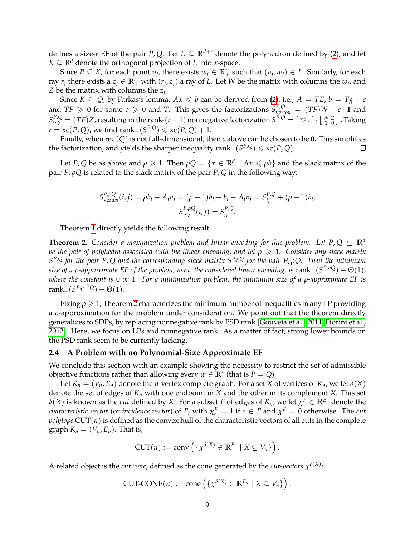defines a size-*r* EF of the pair *P*, *Q*. Let  $L \subseteq \mathbb{R}^{d+r}$  denote the polyhedron defined by [\(2\)](#page-7-2), and let *K* ⊆  $\mathbb{R}^d$  denote the orthogonal projection of *L* into *x*-space.

Since  $P \subseteq K$ , for each point  $v_j$ , there exists  $w_j \in \mathbb{R}^r_+$  such that  $(v_j, w_j) \in L$ . Similarly, for each ray  $r_j$  there exists a  $z_j \in \mathbb{R}_+^r$  with  $(r_j, z_j)$  a ray of L. Let W be the matrix with columns the  $w_j$ , and *Z* be the matrix with columns the *z<sup>j</sup>*

Since  $K \subseteq Q$ , by Farkas's lemma,  $Ax \leq b$  can be derived from [\(2\)](#page-7-2), i.e.,  $A = TE$ ,  $b = Tg + c$ and  $TF \ge 0$  for some  $c \ge 0$  and *T*. This gives the factorizations  $S^{P,Q}_{vertex} = (TF)W + c \cdot \mathbf{1}$  and  $S^{P,Q}_{\text{ray}} = (TF)Z$ , resulting in the rank- $(r+1)$  nonnegative factorization  $S^{P,Q} = [\text{TF } c] \cdot [\frac{W}{1} \frac{Z}{0}]$  . Taking  $r = xc(P,Q)$ , we find  $rank_+(S^{P,Q}) \leqslant xc(P,Q)+1$ .

Finally, when rec (*Q*) is not full-dimensional, then *c* above can be chosen to be **0**. This simplifies the factorization, and yields the sharper inequality  $rank_+(S^{P,Q}) \leqslant xc(P,Q)$ .  $\Box$ 

Let *P*, *Q* be as above and  $\rho \geqslant 1$ . Then  $\rho Q = \{x \in \mathbb{R}^d \mid Ax \leqslant \rho b\}$  and the slack matrix of the pair *P*, *ρQ* is related to the slack matrix of the pair *P*, *Q* in the following way:

$$
S_{\text{vertex}}^{P, \rho Q}(i, j) = \rho b_i - A_i v_j = (\rho - 1)b_i + b_i - A_i v_j = S_{ij}^{P, Q} + (\rho - 1)b_i,
$$
  

$$
S_{\text{ray}}^{P, \rho Q}(i, j) = S_{ij}^{P, Q}.
$$

Theorem [1](#page-7-0) directly yields the following result.

<span id="page-8-0"></span>**Theorem 2.** *Consider a maximization problem and linear encoding for this problem. Let*  $P, Q \subseteq \mathbb{R}^d$ *be the pair of polyhedra associated with the linear encoding, and let*  $ρ \geq 1$ *. Consider any slack matrix S <sup>P</sup>*,*<sup>Q</sup> for the pair P*, *Q and the corresponding slack matrix S <sup>P</sup>*,*ρ<sup>Q</sup> for the pair P*, *ρQ. Then the minimum*  $s$ ize of a  $\rho$ -approximate EF of the problem, w.r.t. the considered linear encoding, is  $\text{rank}_+(\mathcal{S}^{P,\rho Q})+\Theta(1)$ , *where the constant is* 0 *or* 1*. For a minimization problem, the minimum size of a ρ-approximate EF is*  $rank_+(S^{P,\rho^{-1}Q}) + \Theta(1).$ 

Fixing *ρ* > 1, Theorem [2](#page-8-0) characterizes the minimum number of inequalities in any LP providing a *ρ*-approximation for the problem under consideration. We point out that the theorem directly generalizes to SDPs, by replacing nonnegative rank by PSD rank [\[Gouveia et al., 2011,](#page-21-14) [Fiorini et al.,](#page-21-7) [2012\]](#page-21-7). Here, we focus on LPs and nonnegative rank. As a matter of fact, strong lower bounds on the PSD rank seem to be currently lacking.

#### **2.4 A Problem with no Polynomial-Size Approximate EF**

We conclude this section with an example showing the necessity to restrict the set of admissible objective functions rather than allowing every  $w \in \mathbb{R}^*$  (that is  $P = Q$ ).

Let  $K_n = (V_n, E_n)$  denote the *n*-vertex complete graph. For a set *X* of vertices of  $K_n$ , we let  $\delta(X)$ denote the set of edges of  $K_n$  with one endpoint in  $X$  and the other in its complement  $\bar{X}$ . This set  $\delta(X)$  is known as the *cut* defined by  $X$ . For a subset  $F$  of edges of  $K_n$ , we let  $\chi^F\in\mathbb{R}^{E_n}$  denote the *characteristic vector* (or *incidence vector*) of *F*, with  $\chi_e^F = 1$  if  $e \in F$  and  $\chi_e^F = 0$  otherwise. The *cut*  $polytope$  CUT $(n)$  is defined as the convex hull of the characteristic vectors of all cuts in the complete graph  $K_n = (V_n, E_n)$ . That is,

$$
CUT(n) := \text{conv}\left(\{\chi^{\delta(X)} \in \mathbb{R}^{E_n} \mid X \subseteq V_n\}\right).
$$

A related object is the *cut cone,* defined as the cone generated by the *cut-vectors*  $\chi^{\delta(X)}$ :

$$
CUT\text{-}CONF(n) := \text{cone}\left(\left\{\chi^{\delta(X)} \in \mathbb{R}^{E_n} \mid X \subseteq V_n\right\}\right).
$$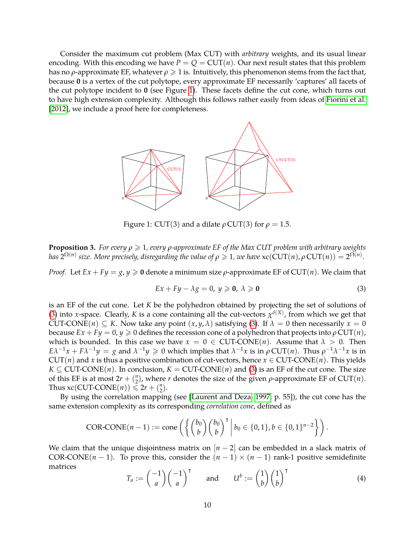Consider the maximum cut problem (Max CUT) with *arbitrary* weights, and its usual linear encoding. With this encoding we have  $P = Q = \text{CUT}(n)$ . Our next result states that this problem has no  $\rho$ -approximate EF, whatever  $\rho \geq 1$  is. Intuitively, this phenomenon stems from the fact that, because **0** is a vertex of the cut polytope, every approximate EF necessarily 'captures' all facets of the cut polytope incident to **0** (see Figure [1\)](#page-9-0). These facets define the cut cone, which turns out to have high extension complexity. Although this follows rather easily from ideas of [Fiorini et al.](#page-21-7) [\[2012\]](#page-21-7), we include a proof here for completeness.



<span id="page-9-0"></span>Figure 1: CUT(3) and a dilate  $\rho$  CUT(3) for  $\rho = 1.5$ .

**Proposition 3.** *For every ρ* > 1*, every ρ-approximate EF of the Max CUT problem with arbitrary weights has*  $2^{\Omega(n)}$  *size. More precisely, disregarding the value of*  $\rho \geqslant 1$ *, we have*  $\mathrm{xc}(\mathrm{CUT}(n), \rho \mathrm{CUT}(n)) = 2^{\Omega(n)}$ *.* 

*Proof.* Let  $Ex + Fy = g$ ,  $y \ge 0$  denote a minimum size  $\rho$ -approximate EF of CUT(*n*). We claim that

<span id="page-9-1"></span>
$$
Ex + Fy - \lambda g = 0, y \ge 0, \lambda \ge 0
$$
\n(3)

is an EF of the cut cone. Let *K* be the polyhedron obtained by projecting the set of solutions of [\(3\)](#page-9-1) into *x*-space. Clearly, *K* is a cone containing all the cut-vectors  $\chi^{\delta(X)}$ , from which we get that CUT-CONE(*n*)  $\subseteq$  *K*. Now take any point  $(x, y, \lambda)$  satisfying [\(3\)](#page-9-1). If  $\lambda = 0$  then necessarily  $x = 0$ because  $Ex + Fy = 0$ ,  $y \ge 0$  defines the recession cone of a polyhedron that projects into  $\rho$  CUT(*n*), which is bounded. In this case we have  $x = 0 \in$  CUT-CONE(*n*). Assume that  $\lambda > 0$ . Then  $E\lambda^{-1}x + F\lambda^{-1}y = g$  and  $\lambda^{-1}y \geq 0$  which implies that  $\lambda^{-1}x$  is in  $\rho$  CUT(*n*). Thus  $\rho^{-1}\lambda^{-1}x$  is in  $CUT(n)$  and *x* is thus a positive combination of cut-vectors, hence  $x \in CUT\text{-}CONF(n)$ . This yields  $K \subseteq$  CUT-CONE(*n*). In conclusion,  $K =$  CUT-CONE(*n*) and [\(3\)](#page-9-1) is an EF of the cut cone. The size of this EF is at most  $2r + \binom{n}{2}$  $\binom{n}{2}$ , where *r* denotes the size of the given *ρ*-approximate EF of CUT(*n*). Thus  $xc(CUT-CONE(n)) \le 2r + {n \choose 2}$  $\binom{n}{2}$ .

By using the correlation mapping (see [\[Laurent and Deza, 1997,](#page-22-18) p. 55]), the cut cone has the same extension complexity as its corresponding *correlation cone*, defined as

COR-CONF
$$
(n-1)
$$
 := cone  $\left( \left\{ \binom{b_0}{b} \binom{b_0}{b}^\mathsf{T} \middle| b_0 \in \{0,1\}, b \in \{0,1\}^{n-2} \right\} \right)$ .

We claim that the unique disjointness matrix on  $[n-2]$  can be embedded in a slack matrix of COR-CONE( $n - 1$ ). To prove this, consider the  $(n - 1) \times (n - 1)$  rank-1 positive semidefinite matrices

<span id="page-9-2"></span>
$$
T_a := \begin{pmatrix} -1 \\ a \end{pmatrix} \begin{pmatrix} -1 \\ a \end{pmatrix}^\mathsf{T} \quad \text{and} \quad U^b := \begin{pmatrix} 1 \\ b \end{pmatrix} \begin{pmatrix} 1 \\ b \end{pmatrix}^\mathsf{T} \tag{4}
$$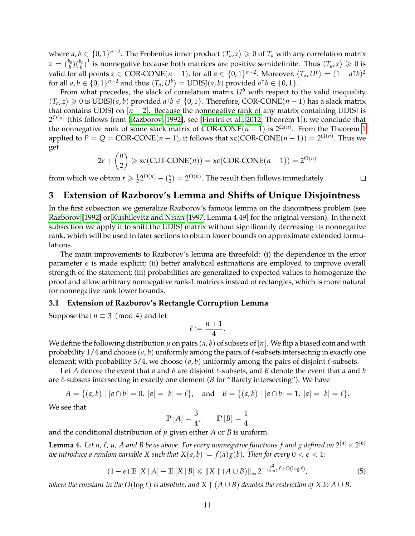where  $a, b \in \{0, 1\}^{n-2}$ . The Frobenius inner product  $\langle T_a, z \rangle \geq 0$  of  $T_a$  with any correlation matrix  $z = {b_0 \choose b} {b_0 \choose b}^{\mathsf{T}}$  is nonnegative because both matrices are positive semidefinite. Thus  $\langle T_a, z \rangle \geqslant 0$  is valid for all points  $z \in \text{COR-CONE}(n-1)$ , for all  $a \in \{0,1\}^{n-2}$ . Moreover,  $\langle T_a, U^b \rangle = (1 - a^{\dagger}b)^2$ for all  $a, b \in \{0, 1\}^{n-2}$  and thus  $\langle T_a, U^b \rangle = \text{UDISJ}(a, b)$  provided  $a^\intercal b \in \{0, 1\}.$ 

From what precedes, the slack of correlation matrix  $U^b$  with respect to the valid inequality  $\langle T_a, z \rangle \ge 0$  is UDISJ(*a*, *b*) provided *a*<sup>T</sup>*b* ∈ {0, 1}. Therefore, COR-CONE(*n* − 1) has a slack matrix that contains UDISJ on  $[n-2]$ . Because the nonnegative rank of any matrix containing UDISJ is  $2^{\Omega(n)}$  (this follows from [\[Razborov, 1992\]](#page-22-10), see [\[Fiorini et al., 2012,](#page-21-7) Theorem 1]), we conclude that the nonnegative rank of some slack matrix of  $\text{COR-CONE}(n-1)$  is  $2^{\Omega(n)}$ . From the Theorem [1](#page-7-0) applied to  $P = Q = \text{COR-CONF}(n-1)$ , it follows that  $\text{xc}(\text{COR-CONF}(n-1)) = 2^{\Omega(n)}$ . Thus we get

$$
2r + {n \choose 2} \geqslant xc(CUT\text{-}CONF(n)) = xc(COR\text{-}CONF(n-1)) = 2^{\Omega(n)}
$$

 $\Box$ 

from which we obtain  $r \geqslant \frac{1}{2} 2^{\Omega(n)} - \binom{n}{2}$  $\Omega_2^{(n)} = 2^{\Omega(n)}$ . The result then follows immediately.

# <span id="page-10-0"></span>**3 Extension of Razborov's Lemma and Shifts of Unique Disjointness**

In the first subsection we generalize Razborov's famous lemma on the disjointness problem (see [Razborov](#page-22-10) [\[1992\]](#page-22-10) or [Kushilevitz and Nisan](#page-21-5) [\[1997,](#page-21-5) Lemma 4.49] for the original version). In the next subsection we apply it to shift the UDISJ matrix without significantly decreasing its nonnegative rank, which will be used in later sections to obtain lower bounds on approximate extended formulations.

The main improvements to Razborov's lemma are threefold: (i) the dependence in the error parameter  $\epsilon$  is made explicit; (ii) better analytical estimations are employed to improve overall strength of the statement; (iii) probabilities are generalized to expected values to homogenize the proof and allow arbitrary nonnegative rank-1 matrices instead of rectangles, which is more natural for nonnegative rank lower bounds.

#### **3.1 Extension of Razborov's Rectangle Corruption Lemma**

Suppose that  $n \equiv 3 \pmod{4}$  and let

$$
\ell:=\frac{n+1}{4}.
$$

We define the following distribution  $\mu$  on pairs  $(a, b)$  of subsets of  $[n]$ . We flip a biased coin and with probability  $1/4$  and choose  $(a, b)$  uniformly among the pairs of  $\ell$ -subsets intersecting in exactly one element; with probability  $3/4$ , we choose  $(a, b)$  uniformly among the pairs of disjoint  $\ell$ -subsets.

Let *A* denote the event that *a* and *b* are disjoint  $\ell$ -subsets, and *B* denote the event that *a* and *b* are  $\ell$ -subsets intersecting in exactly one element (*B* for "Barely intersecting"). We have

$$
A = \{(a,b) \mid |a \cap b| = 0, |a| = |b| = \ell\}, \text{ and } B = \{(a,b) \mid |a \cap b| = 1, |a| = |b| = \ell\}.
$$

We see that

<span id="page-10-1"></span>
$$
\mathbb{P}[A] = \frac{3}{4}, \qquad \mathbb{P}[B] = \frac{1}{4}
$$

and the conditional distribution of  $\mu$  given either *A* or *B* is uniform.

<span id="page-10-2"></span>**Lemma 4.** Let n,  $\ell$ ,  $\mu$ , A and B be as above. For every nonnegative functions f and g defined on  $2^{[n]}\times 2^{[n]}$ *we introduce a random variable X such that*  $X(a,b) := f(a)g(b)$ *. Then for every*  $0 < \epsilon < 1$ *:* 

$$
(1 - \epsilon) \mathbb{E}[X \mid A] - \mathbb{E}[X \mid B] \leq \|X \upharpoonright (A \cup B)\|_{\infty} 2^{-\frac{\epsilon^2}{16 \ln 2} \ell + O(\log \ell)}, \tag{5}
$$

*where the constant in the*  $O(\log \ell)$  *is absolute, and*  $X \restriction (A \cup B)$  *denotes the restriction of*  $X$  *to*  $A \cup B$ *.*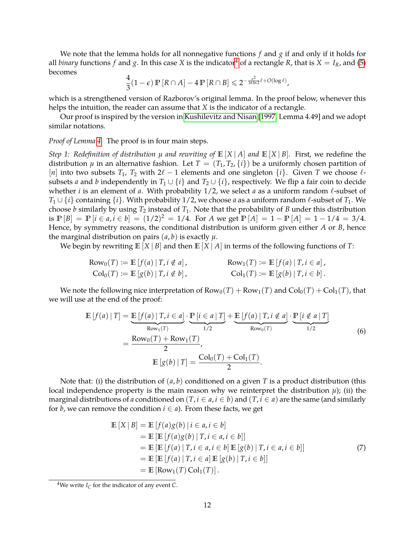We note that the lemma holds for all nonnegative functions *f* and *g* if and only if it holds for all *binary* functions *f* and *g*. In this case *X* is the indicator<sup>[4](#page-11-0)</sup> of a rectangle *R*, that is *X* = *I<sub>R</sub>*, and [\(5\)](#page-10-1) becomes

$$
\frac{4}{3}(1-\epsilon)\,\mathbb{P}\left[R\cap A\right]-4\,\mathbb{P}\left[R\cap B\right]\leqslant 2^{-\frac{\epsilon^2}{16\ln 2}\ell+O(\log \ell)},
$$

which is a strengthened version of Razborov's original lemma. In the proof below, whenever this helps the intuition, the reader can assume that *X* is the indicator of a rectangle.

Our proof is inspired by the version in [Kushilevitz and Nisan](#page-21-5) [\[1997,](#page-21-5) Lemma 4.49] and we adopt similar notations.

#### *Proof of Lemma [4.](#page-10-2)* The proof is in four main steps.

*Step 1: Redefinition of distribution*  $\mu$  *and rewriting of*  $\mathbb{E}[X | A]$  *and*  $\mathbb{E}[X | B]$ *. First, we redefine the* distribution  $\mu$  in an alternative fashion. Let  $T = (T_1, T_2, \{i\})$  be a uniformly chosen partition of [*n*] into two subsets  $T_1$ ,  $T_2$  with  $2\ell - 1$  elements and one singleton  $\{i\}$ . Given *T* we choose  $\ell$ subsets *a* and *b* independently in  $T_1 \cup \{i\}$  and  $T_2 \cup \{i\}$ , respectively. We flip a fair coin to decide whether *i* is an element of *a*. With probability  $1/2$ , we select *a* as a uniform random  $\ell$ -subset of *T*<sub>1</sub> ∪ {*i*} containing {*i*}. With probability 1/2, we choose *a* as a uniform random  $\ell$ -subset of *T*<sub>1</sub>. We choose *b* similarly by using  $T_2$  instead of  $T_1$ . Note that the probability of *B* under this distribution is  $\mathbb{P}[B] = \mathbb{P}[i \in a, i \in b] = (1/2)^2 = 1/4$ . For *A* we get  $\mathbb{P}[A] = 1 - \mathbb{P}[A] = 1 - 1/4 = 3/4$ . Hence, by symmetry reasons, the conditional distribution is uniform given either *A* or *B*, hence the marginal distribution on pairs  $(a, b)$  is exactly  $\mu$ .

We begin by rewriting  $\mathbb{E}[X | B]$  and then  $\mathbb{E}[X | A]$  in terms of the following functions of *T*:

$$
\begin{aligned}\n\text{Row}_0(T) &:= \mathbb{E}\left[f(a) \mid T, i \notin a\right], & \text{Row}_1(T) &:= \mathbb{E}\left[f(a) \mid T, i \in a\right], \\
\text{Col}_0(T) &:= \mathbb{E}\left[g(b) \mid T, i \notin b\right], & \text{Col}_1(T) &:= \mathbb{E}\left[g(b) \mid T, i \in b\right].\n\end{aligned}
$$

We note the following nice interpretation of  $Row_0(T) + Row_1(T)$  and  $Col_0(T) + Col_1(T)$ , that we will use at the end of the proof:

$$
\mathbb{E}\left[f(a)\mid T\right] = \underbrace{\mathbb{E}\left[f(a)\mid T, i \in a\right]}_{\text{Row}_1(T)} \cdot \underbrace{\mathbb{P}\left[i \in a \mid T\right]}_{1/2} + \underbrace{\mathbb{E}\left[f(a)\mid T, i \notin a\right]}_{\text{Row}_0(T)} \cdot \underbrace{\mathbb{P}\left[i \notin a \mid T\right]}_{1/2}
$$
\n
$$
= \frac{\text{Row}_0(T) + \text{Row}_1(T)}{2},
$$
\n
$$
\mathbb{E}\left[g(b)\mid T\right] = \frac{\text{Col}_0(T) + \text{Col}_1(T)}{2}.
$$
\n(6)

Note that: (i) the distribution of  $(a, b)$  conditioned on a given T is a product distribution (this local independence property is the main reason why we reinterpret the distribution  $\mu$ ); (ii) the marginal distributions of *a* conditioned on  $(T, i \in a, i \in b)$  and  $(T, i \in a)$  are the same (and similarly for *b*, we can remove the condition  $i \in a$ ). From these facts, we get

<span id="page-11-2"></span><span id="page-11-1"></span>
$$
\mathbb{E}[X | B] = \mathbb{E}[f(a)g(b) | i \in a, i \in b]
$$
  
\n
$$
= \mathbb{E}[\mathbb{E}[f(a)g(b) | T, i \in a, i \in b]]
$$
  
\n
$$
= \mathbb{E}[\mathbb{E}[f(a) | T, i \in a, i \in b] \mathbb{E}[g(b) | T, i \in a, i \in b]]
$$
  
\n
$$
= \mathbb{E}[\mathbb{E}[f(a) | T, i \in a] \mathbb{E}[g(b) | T, i \in b]]
$$
  
\n
$$
= \mathbb{E}[\text{Row}_1(T) \text{Col}_1(T)].
$$
\n(7)

<span id="page-11-0"></span><sup>&</sup>lt;sup>4</sup>We write  $I_C$  for the indicator of any event *C*.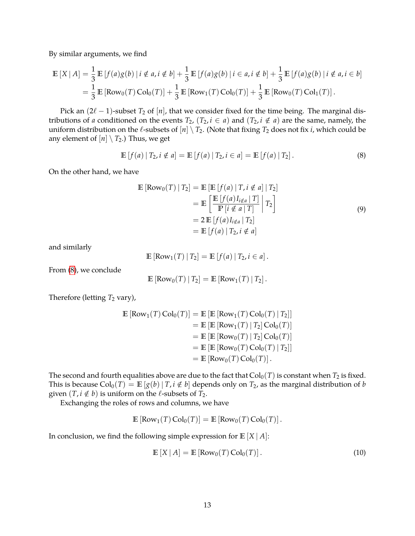By similar arguments, we find

$$
\mathbb{E}[X | A] = \frac{1}{3} \mathbb{E}[f(a)g(b) | i \notin a, i \notin b] + \frac{1}{3} \mathbb{E}[f(a)g(b) | i \in a, i \notin b] + \frac{1}{3} \mathbb{E}[f(a)g(b) | i \notin a, i \in b]
$$
  
=  $\frac{1}{3} \mathbb{E}[Row_0(T) Col_0(T)] + \frac{1}{3} \mathbb{E}[Row_1(T) Col_0(T)] + \frac{1}{3} \mathbb{E}[Row_0(T) Col_1(T)].$ 

Pick an  $(2\ell - 1)$ -subset  $T_2$  of  $[n]$ , that we consider fixed for the time being. The marginal distributions of *a* conditioned on the events  $T_2$ ,  $(T_2, i \in a)$  and  $(T_2, i \notin a)$  are the same, namely, the uniform distribution on the  $\ell$ -subsets of  $[n] \setminus T_2$ . (Note that fixing  $T_2$  does not fix *i*, which could be any element of  $[n] \setminus T_2$ .) Thus, we get

$$
\mathbb{E}[f(a) | T_2, i \notin a] = \mathbb{E}[f(a) | T_2, i \in a] = \mathbb{E}[f(a) | T_2].
$$
\n(8)

On the other hand, we have

<span id="page-12-0"></span>
$$
\mathbb{E} [\text{Row}_0(T) | T_2] = \mathbb{E} [\mathbb{E} [f(a) | T, i \notin a] | T_2]
$$
  
\n
$$
= \mathbb{E} \left[ \frac{\mathbb{E} [f(a) I_{i \notin a} | T]}{\mathbb{P} [i \notin a | T]} \middle| T_2 \right]
$$
  
\n
$$
= 2 \mathbb{E} [f(a) I_{i \notin a} | T_2]
$$
  
\n
$$
= \mathbb{E} [f(a) | T_2, i \notin a]
$$
  
\n(9)

and similarly

<span id="page-12-2"></span>
$$
\mathbb{E}\left[\text{Row}_1(T) \,|\, T_2\right] = \mathbb{E}\left[f(a) \,|\, T_2, i \in a\right].
$$

From [\(8\)](#page-12-0), we conclude

$$
\mathbb{E}\left[\text{Row}_0(T) | T_2\right] = \mathbb{E}\left[\text{Row}_1(T) | T_2\right].
$$

Therefore (letting  $T_2$  vary),

$$
\begin{aligned} \mathbb{E} \left[ \text{Row}_1(T) \, \text{Col}_0(T) \right] &= \mathbb{E} \left[ \mathbb{E} \left[ \text{Row}_1(T) \, \text{Col}_0(T) \, | \, T_2 \right] \right] \\ &= \mathbb{E} \left[ \mathbb{E} \left[ \text{Row}_1(T) \, | \, T_2 \right] \text{Col}_0(T) \right] \\ &= \mathbb{E} \left[ \mathbb{E} \left[ \text{Row}_0(T) \, | \, T_2 \right] \text{Col}_0(T) \right] \\ &= \mathbb{E} \left[ \mathbb{E} \left[ \text{Row}_0(T) \, \text{Col}_0(T) \, | \, T_2 \right] \right] \\ &= \mathbb{E} \left[ \text{Row}_0(T) \, \text{Col}_0(T) \right]. \end{aligned}
$$

The second and fourth equalities above are due to the fact that  $Col_0(T)$  is constant when  $T_2$  is fixed. This is because  $Col_0(T) = \mathbb{E}[g(b) | T, i \notin b]$  depends only on  $T_2$ , as the marginal distribution of *b* given  $(T, i \notin b)$  is uniform on the  $\ell$ -subsets of  $T_2$ .

Exchanging the roles of rows and columns, we have

$$
\mathbb{E}\left[\text{Row}_1(T)\,\text{Col}_0(T)\right] = \mathbb{E}\left[\text{Row}_0(T)\,\text{Col}_0(T)\right].
$$

In conclusion, we find the following simple expression for  $\mathbb{E}[X|A]$ :

<span id="page-12-1"></span>
$$
\mathbb{E}\left[X \mid A\right] = \mathbb{E}\left[\text{Row}_0(T)\,\text{Col}_0(T)\right].\tag{10}
$$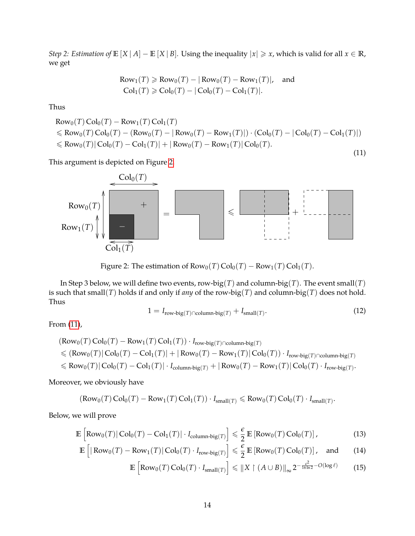*Step 2: Estimation of*  $\mathbb{E}[X \mid A] - \mathbb{E}[X \mid B]$ *.* Using the inequality  $|x| \ge x$ *, which is valid for all*  $x \in \mathbb{R}$ *,* we get

<span id="page-13-1"></span>Row<sub>1</sub>(*T*) 
$$
\geq Row_0(T) - |Row_0(T) - Row_1(T)|
$$
, and  
Col<sub>1</sub>(*T*)  $\geq$  Col<sub>0</sub>(*T*) - |Col<sub>0</sub>(*T*) - Col<sub>1</sub>(*T*)|.

Thus

Row<sub>0</sub>(T) Col<sub>0</sub>(T) – Row<sub>1</sub>(T) Col<sub>1</sub>(T)  
\n
$$
\leq
$$
 Row<sub>0</sub>(T) Col<sub>0</sub>(T) – (Row<sub>0</sub>(T) – |Row<sub>0</sub>(T) – Row<sub>1</sub>(T)|) · (Col<sub>0</sub>(T) – |Col<sub>0</sub>(T) – Col<sub>1</sub>(T)|)  
\n $\leq$  Row<sub>0</sub>(T) |Col<sub>0</sub>(T) – Col<sub>1</sub>(T)| + |Row<sub>0</sub>(T) – Row<sub>1</sub>(T)|Col<sub>0</sub>(T). (11)

This argument is depicted on Figure [2.](#page-13-0)



<span id="page-13-0"></span>Figure 2: The estimation of  $Row_0(T) \text{Col}_0(T) - Row_1(T) \text{Col}_1(T)$ .

In Step 3 below, we will define two events, row-big(*T*) and column-big(*T*). The event small(*T*) is such that small(*T*) holds if and only if *any* of the row-big(*T*) and column-big(*T*) does not hold. Thus

<span id="page-13-2"></span>
$$
1 = I_{\text{row-big}(T) \cap \text{column-big}(T)} + I_{\text{small}(T)}.
$$
\n(12)

From [\(11\)](#page-13-1),

$$
(\text{Row}_0(T)\,\text{Col}_0(T) - \text{Row}_1(T)\,\text{Col}_1(T)) \cdot I_{\text{row-big}(T) \cap \text{column-big}(T)}\n\leq (\text{Row}_0(T)|\,\text{Col}_0(T) - \text{Col}_1(T)| + |\,\text{Row}_0(T) - \text{Row}_1(T)|\,\text{Col}_0(T)) \cdot I_{\text{row-big}(T) \cap \text{column-big}(T)}\n\leq \text{Row}_0(T)|\,\text{Col}_0(T) - \text{Col}_1(T)| \cdot I_{\text{column-big}(T)} + |\,\text{Row}_0(T) - \text{Row}_1(T)|\,\text{Col}_0(T) \cdot I_{\text{row-big}(T)}.
$$

Moreover, we obviously have

$$
(\text{Row}_0(T)\,\text{Col}_0(T)-\text{Row}_1(T)\,\text{Col}_1(T))\cdot I_{\text{small}(T)}\leqslant \text{Row}_0(T)\,\text{Col}_0(T)\cdot I_{\text{small}(T)}.
$$

Below, we will prove

$$
\mathbb{E}\left[\text{Row}_0(T)|\text{Col}_0(T) - \text{Col}_1(T)| \cdot I_{\text{column-big}(T)}\right] \leq \frac{\epsilon}{2} \mathbb{E}\left[\text{Row}_0(T)\text{Col}_0(T)\right],\tag{13}
$$

$$
\mathbb{E}\left[\left|\operatorname{Row}_0(T) - \operatorname{Row}_1(T)\right| \operatorname{Col}_0(T) \cdot I_{\operatorname{row-big}(T)}\right] \leq \frac{\epsilon}{2} \mathbb{E}\left[\operatorname{Row}_0(T) \operatorname{Col}_0(T)\right], \quad \text{and} \tag{14}
$$

<span id="page-13-5"></span><span id="page-13-4"></span><span id="page-13-3"></span>
$$
\mathbb{E}\left[\text{Row}_0(T)\,\text{Col}_0(T)\cdot I_{\text{small}(T)}\right] \leqslant \|X\upharpoonright (A\cup B)\|_{\infty} 2^{-\frac{\epsilon^2}{16\ln 2} - O(\log \ell)}\tag{15}
$$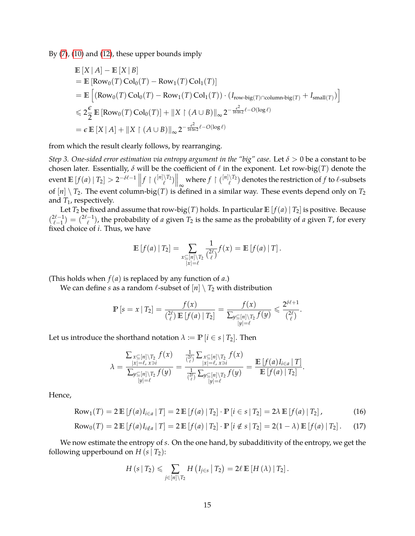By [\(7\)](#page-11-1), [\(10\)](#page-12-1) and [\(12\)](#page-13-2), these upper bounds imply

$$
\mathbb{E}[X | A] - \mathbb{E}[X | B]
$$
\n
$$
= \mathbb{E} [\text{Row}_0(T) \text{Col}_0(T) - \text{Row}_1(T) \text{Col}_1(T)]
$$
\n
$$
= \mathbb{E} \left[ (\text{Row}_0(T) \text{Col}_0(T) - \text{Row}_1(T) \text{Col}_1(T)) \cdot (I_{\text{row-big}(T) \cap \text{column-big}(T)} + I_{\text{small}(T)}) \right]
$$
\n
$$
\leq 2 \frac{\epsilon}{2} \mathbb{E} [\text{Row}_0(T) \text{Col}_0(T)] + ||X| (A \cup B) ||_{\infty} 2^{-\frac{\epsilon^2}{16 \ln 2} \ell - O(\log \ell)}
$$
\n
$$
= \epsilon \mathbb{E}[X | A] + ||X| (A \cup B) ||_{\infty} 2^{-\frac{\epsilon^2}{16 \ln 2} \ell - O(\log \ell)}
$$

from which the result clearly follows, by rearranging.

*Step 3. One-sided error estimation via entropy argument in the "big" case.* Let *δ* > 0 be a constant to be chosen later. Essentially,  $\delta$  will be the coefficient of  $\ell$  in the exponent. Let row-big(*T*) denote the  $\text{event } \mathbb{E}\left[f(a) \mid T_2\right] > 2^{-\delta \ell - 1} \left\|f \mid \binom{[n] \setminus T_2}{\ell} \right\|_{\infty}$  where  $f \mid \binom{[n] \setminus T_2}{\ell}$  denotes the restriction of  $f$  to  $\ell$ -subsets of  $[n] \setminus T_2$ . The event column-big(*T*) is defined in a similar way. These events depend only on  $T_2$ and *T*<sub>1</sub>, respectively.

Let  $T_2$  be fixed and assume that row-big(*T*) holds. In particular  $\mathbb{E}[f(a) | T_2]$  is positive. Because  $\binom{2\ell-1}{\ell-1}$  $\binom{2\ell-1}{\ell-1} = \binom{2\ell-1}{\ell}$  $\binom{-1}{\ell}$ , the probability of *a* given  $T_2$  is the same as the probability of *a* given *T*, for every fixed choice of *i*. Thus, we have

$$
\mathbb{E}[f(a) | T_2] = \sum_{\substack{x \subseteq [n] \setminus T_2 \\ |x| = \ell}} \frac{1}{\binom{2\ell}{\ell}} f(x) = \mathbb{E}[f(a) | T].
$$

(This holds when  $f(a)$  is replaced by any function of  $a$ .)

We can define *s* as a random  $\ell$ -subset of  $[n] \setminus T_2$  with distribution

$$
\mathbb{P}\left[s=x \mid T_2\right]=\frac{f(x)}{\binom{2\ell}{\ell}\mathbb{E}\left[f(a)\mid T_2\right]}=\frac{f(x)}{\sum_{\substack{y\subseteq[n]\setminus T_2\\|y|=\ell}}f(y)}\leqslant \frac{2^{\delta\ell+1}}{\binom{2\ell}{\ell}}.
$$

Let us introduce the shorthand notation  $\lambda := \mathbb{P} \{i \in s \mid T_2\}$ . Then

$$
\lambda = \frac{\sum_{x \subseteq [n] \setminus T_2} f(x)}{\sum_{y \subseteq [n] \setminus T_2} f(y)} = \frac{\frac{1}{\binom{2\ell}{\ell}} \sum_{x \subseteq [n] \setminus T_2} f(x)}{\frac{1}{\binom{2\ell}{\ell}} \sum_{y \subseteq [n] \setminus T_2} f(y)} = \frac{\mathbb{E}\left[f(a)I_{i \in a} | T\right]}{\mathbb{E}\left[f(a) | T_2\right]}.
$$

Hence,

Row<sub>1</sub>(T) = 2 
$$
\mathbb{E}[f(a)I_{i\in a} | T] = 2 \mathbb{E}[f(a) | T_2] \cdot \mathbb{P}[i \in s | T_2] = 2\lambda \mathbb{E}[f(a) | T_2],
$$
 (16)

Row<sub>0</sub>(T) = 2 
$$
\mathbb{E}[f(a)I_{i \notin a} | T] = 2 \mathbb{E}[f(a) | T_2] \cdot \mathbb{P}[i \notin s | T_2] = 2(1 - \lambda) \mathbb{E}[f(a) | T_2].
$$
 (17)

We now estimate the entropy of *s*. On the one hand, by subadditivity of the entropy, we get the following upperbound on  $H(s | T_2)$ :

<span id="page-14-1"></span><span id="page-14-0"></span>
$$
H\left(s\mid T_{2}\right) \leqslant \sum_{j\in[n]\setminus T_{2}} H\left(I_{j\in s}\mid T_{2}\right) = 2\ell \mathbb{E}\left[H\left(\lambda\right)\mid T_{2}\right].
$$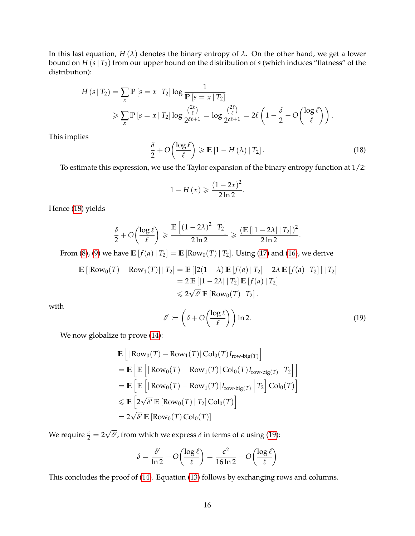In this last equation,  $H(\lambda)$  denotes the binary entropy of  $\lambda$ . On the other hand, we get a lower bound on *H* (*s*| *T*2) from our upper bound on the distribution of *s* (which induces "flatness" of the distribution):

$$
H(s | T_2) = \sum_{x} \mathbb{P} \left[ s = x | T_2 \right] \log \frac{1}{\mathbb{P} \left[ s = x | T_2 \right]}
$$
  
\$\geqslant \sum\_{x} \mathbb{P} \left[ s = x | T\_2 \right] \log \frac{\binom{2\ell}{\ell}}{2^{\delta \ell + 1}} = \log \frac{\binom{2\ell}{\ell}}{2^{\delta \ell + 1}} = 2\ell \left( 1 - \frac{\delta}{2} - O \left( \frac{\log \ell}{\ell} \right) \right).

This implies

$$
\frac{\delta}{2} + O\left(\frac{\log \ell}{\ell}\right) \geqslant \mathbb{E}\left[1 - H\left(\lambda\right) \mid T_{2}\right].\tag{18}
$$

To estimate this expression, we use the Taylor expansion of the binary entropy function at 1/2:

<span id="page-15-0"></span>
$$
1-H(x) \geqslant \frac{\left(1-2x\right)^2}{2\ln 2}.
$$

Hence [\(18\)](#page-15-0) yields

$$
\frac{\delta}{2}+O\bigg(\frac{\log \ell}{\ell}\bigg) \geqslant \frac{\mathbb{E}\left[\left(1-2\lambda\right)^2 \ \Big|\ T_2\right]}{2\ln 2} \geqslant \frac{\left(\mathbb{E}\left[|1-2\lambda|\ |\ T_2|\right)^2\right]}{2\ln 2}.
$$

From [\(8\)](#page-12-0), [\(9\)](#page-12-2) we have  $\mathbb{E}[f(a) | T_2] = \mathbb{E}[Row_0(T) | T_2]$ . Using [\(17\)](#page-14-0) and [\(16\)](#page-14-1), we derive

$$
\mathbb{E} [|\text{Row}_0(T) - \text{Row}_1(T)| | T_2] = \mathbb{E} [|2(1 - \lambda) \mathbb{E} [f(a) | T_2] - 2\lambda \mathbb{E} [f(a) | T_2]| | T_2]
$$
  
= 2  $\mathbb{E} [|1 - 2\lambda| | T_2] \mathbb{E} [f(a) | T_2]$   
 $\leq 2\sqrt{\delta'} \mathbb{E} [\text{Row}_0(T) | T_2].$ 

with

<span id="page-15-1"></span>
$$
\delta' := \left(\delta + O\left(\frac{\log \ell}{\ell}\right)\right) \ln 2. \tag{19}
$$

We now globalize to prove  $(14)$ :

$$
\mathbb{E}\left[\left|\operatorname{Row}_{0}(T) - \operatorname{Row}_{1}(T)\right| \operatorname{Col}_{0}(T) I_{\operatorname{row-big}(T)}\right]
$$
\n
$$
= \mathbb{E}\left[\mathbb{E}\left[\left|\operatorname{Row}_{0}(T) - \operatorname{Row}_{1}(T)\right| \operatorname{Col}_{0}(T) I_{\operatorname{row-big}(T)}\right| T_{2}\right]
$$
\n
$$
= \mathbb{E}\left[\mathbb{E}\left[\left|\operatorname{Row}_{0}(T) - \operatorname{Row}_{1}(T)\right| I_{\operatorname{row-big}(T)}\right| T_{2}\right] \operatorname{Col}_{0}(T)\right]
$$
\n
$$
\leq \mathbb{E}\left[2\sqrt{\delta'} \mathbb{E}\left[\operatorname{Row}_{0}(T) \mid T_{2}\right] \operatorname{Col}_{0}(T)\right]
$$
\n
$$
= 2\sqrt{\delta'} \mathbb{E}\left[\operatorname{Row}_{0}(T) \operatorname{Col}_{0}(T)\right]
$$

We require  $\frac{\epsilon}{2} = 2$ √  $\delta$ <sup>*,*</sup> from which we express  $\delta$  in terms of  $\epsilon$  using [\(19\)](#page-15-1):

$$
\delta = \frac{\delta'}{\ln 2} - O\left(\frac{\log \ell}{\ell}\right) = \frac{\epsilon^2}{16 \ln 2} - O\left(\frac{\log \ell}{\ell}\right)
$$

This concludes the proof of [\(14\)](#page-13-3). Equation [\(13\)](#page-13-4) follows by exchanging rows and columns.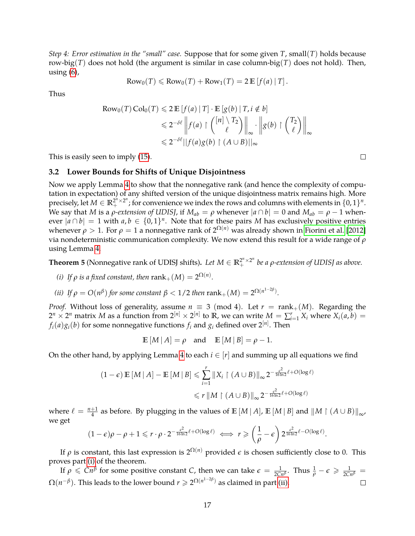*Step 4: Error estimation in the "small" case.* Suppose that for some given *T*, small(*T*) holds because row-big(*T*) does not hold (the argument is similar in case column-big(*T*) does not hold). Then, using  $(6)$ ,

$$
\text{Row}_0(T) \leqslant \text{Row}_0(T) + \text{Row}_1(T) = 2 \mathbb{E}[f(a) | T].
$$

Thus

Row<sub>0</sub>(T) Col<sub>0</sub>(T) 
$$
\leq
$$
 2 E [ $f(a)$  | T]  $\cdot$  E [ $g(b)$  | T,  $i \notin b$ ]  
\n $\leq$  2<sup>- $\delta \ell$</sup>   $\left\| f(a) \upharpoonright {n \setminus T_2 \choose \ell} \right\|_{\infty} \cdot \left\| g(b) \upharpoonright {T_2 \choose \ell} \right\|_{\infty}$   
\n $\leq$  2<sup>- $\delta \ell$</sup>   $\left\| f(a)g(b) \upharpoonright (A \cup B) \right\|_{\infty}$ 

This is easily seen to imply [\(15\)](#page-13-5).

#### **3.2 Lower Bounds for Shifts of Unique Disjointness**

Now we apply Lemma [4](#page-10-2) to show that the nonnegative rank (and hence the complexity of computation in expectation) of any shifted version of the unique disjointness matrix remains high. More precisely, let  $M \in \mathbb{R}^{2^n \times 2^n}$ ; for convenience we index the rows and columns with elements in  $\{0,1\}^n$ . We say that *M* is a *ρ*-extension of UDISJ, if  $M_{ab} = \rho$  whenever  $|a \cap b| = 0$  and  $M_{ab} = \rho - 1$  whenever  $|a \cap b| = 1$  with  $a, b \in \{0, 1\}^n$ . Note that for these pairs *M* has exclusively positive entries whenever  $\rho > 1$ . For  $\rho = 1$  a nonnegative rank of  $2^{\Omega(n)}$  was already shown in [Fiorini et al.](#page-21-7) [\[2012\]](#page-21-7) via nondeterministic communication complexity. We now extend this result for a wide range of *ρ* using Lemma [4.](#page-10-2)

<span id="page-16-2"></span>**Theorem 5** (Nonnegative rank of UDISJ shifts). Let  $M \in \mathbb{R}_+^{2^n \times 2^n}$  be a *ρ*-extension of UDISJ as above.

- <span id="page-16-0"></span>*(i) If*  $\rho$  *is a fixed constant, then*  $\text{rank}_+(M) = 2^{\Omega(n)}$ *.*
- <span id="page-16-1"></span>*(ii) If*  $\rho = O(n^{\beta})$  *for some constant*  $\beta < 1/2$  *then*  $\text{rank}_{+}(M) = 2^{\Omega(n^{1-2\beta})}$ *.*

*Proof.* Without loss of generality, assume  $n \equiv 3 \pmod{4}$ . Let  $r = \text{rank}_+(M)$ . Regarding the  $2^n \times 2^n$  matrix *M* as a function from  $2^{[n]} \times 2^{[n]}$  to **R**, we can write  $M = \sum_{i=1}^r X_i$  where  $X_i(a, b) =$  $f_i(a)g_i(b)$  for some nonnegative functions  $f_i$  and  $g_i$  defined over  $2^{[n]}.$  Then

$$
\mathbb{E}[M | A] = \rho \quad \text{and} \quad \mathbb{E}[M | B] = \rho - 1.
$$

On the other hand, by applying Lemma [4](#page-10-2) to each  $i \in [r]$  and summing up all equations we find

$$
(1 - \epsilon) \mathbb{E}[M | A] - \mathbb{E}[M | B] \leq \sum_{i=1}^{r} ||X_i| (A \cup B)||_{\infty} 2^{-\frac{\epsilon^2}{16 \ln 2} \ell + O(\log \ell)}
$$
  

$$
\leq r ||M| (A \cup B)||_{\infty} 2^{-\frac{\epsilon^2}{16 \ln 2} \ell + O(\log \ell)}
$$

where  $\ell = \frac{n+1}{4}$  as before. By plugging in the values of  $\mathbb{E}[M | A]$ ,  $\mathbb{E}[M | B]$  and  $\|M \upharpoonright (A \cup B)\|_{\infty}$ , we get

$$
(1-\epsilon)\rho-\rho+1\leqslant r\cdot\rho\cdot2^{-\frac{\epsilon^2}{16\ln 2}\ell+O(\log \ell)}\iff r\geqslant\left(\frac{1}{\rho}-\epsilon\right)2^{\frac{\epsilon^2}{16\ln 2}\ell-O(\log \ell)}.
$$

If  $\rho$  is constant, this last expression is  $2^{\Omega(n)}$  provided  $\epsilon$  is chosen sufficiently close to 0. This proves part [\(i\)](#page-16-0) of the theorem.

If  $\rho \leq C n^{\beta}$  for some positive constant *C*, then we can take  $\epsilon = \frac{1}{2C n^{\beta}}$ . Thus  $\frac{1}{\rho} - \epsilon \geqslant \frac{1}{2C n^{\beta}} =$  $\Omega(n^{-\beta}).$  This leads to the lower bound  $r\geqslant 2^{\Omega(n^{1-2\beta})}$  as claimed in part [\(ii\).](#page-16-1)  $\Box$ 

 $\Box$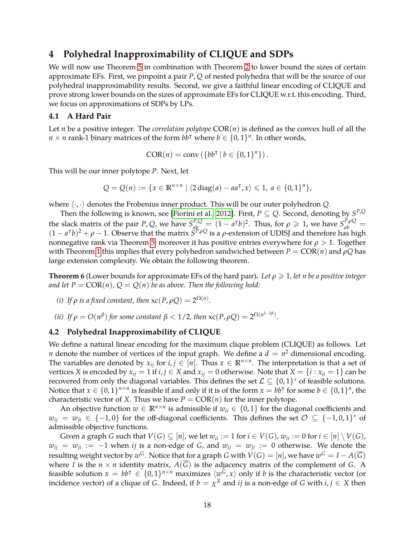# <span id="page-17-0"></span>**4 Polyhedral Inapproximability of CLIQUE and SDPs**

We will now use Theorem [5](#page-16-2) in combination with Theorem [2](#page-8-0) to lower bound the sizes of certain approximate EFs. First, we pinpoint a pair *P*, *Q* of nested polyhedra that will be the source of our polyhedral inapproximability results. Second, we give a faithful linear encoding of CLIQUE and prove strong lower bounds on the sizes of approximate EFs for CLIQUE w.r.t. this encoding. Third, we focus on approximations of SDPs by LPs.

#### <span id="page-17-2"></span>**4.1 A Hard Pair**

Let *n* be a positive integer. The *correlation polytope* COR(*n*) is defined as the convex hull of all the  $n \times n$  rank-1 binary matrices of the form  $bb^{\top}$  where  $b \in \{0,1\}^n$ . In other words,

$$
COR(n) = conv({b bT | b \in {0, 1}n}).
$$

This will be our inner polytope *P*. Next, let

$$
Q = Q(n) := \{x \in \mathbb{R}^{n \times n} \mid \langle 2 \operatorname{diag}(a) - a a^{\mathsf{T}}, x \rangle \leq 1, a \in \{0, 1\}^n\},\
$$

where  $\langle \cdot, \cdot \rangle$  denotes the Frobenius inner product. This will be our outer polyhedron *Q*.

Then the following is known, see [\[Fiorini et al., 2012\]](#page-21-7). First,  $P \subseteq Q$ . Second, denoting by  $S^{P,Q}$ the slack matrix of the pair *P*, *Q*, we have  $S_{ab}^{P,Q} = (1 - a^{\dagger}b)^2$ . Thus, for  $\rho \ge 1$ , we have  $S_{ab}^{P,Q} =$  $(1 - a^Tb)^2 + \rho - 1$ . Observe that the matrix  $S^{p,qQ}$  is a  $\rho$ -extension of UDISJ and therefore has high nonnegative rank via Theorem [5;](#page-16-2) moreover it has positive entries everywhere for *ρ* > 1. Together with Theorem [1](#page-7-0) this implies that every polyhedron sandwiched between  $P = \text{COR}(n)$  and  $\rho Q$  has large extension complexity. We obtain the following theorem.

<span id="page-17-1"></span>**Theorem 6** (Lower bounds for approximate EFs of the hard pair). Let  $\rho \geq 1$ , let *n* be a positive integer *and let*  $P = \text{COR}(n)$ ,  $Q = Q(n)$  *be as above. Then the following hold:* 

- *(i) If*  $\rho$  *is a fixed constant, then*  $\operatorname{xc}(P, \rho Q) = 2^{\Omega(n)}$ *.*
- (*ii*) *If*  $\rho = O(n^{\beta})$  *for some constant*  $\beta < 1/2$ *, then*  $\operatorname{xc}(P, \rho Q) = 2^{\Omega(n^{1-2\beta})}$ *.*

#### **4.2 Polyhedral Inapproximability of CLIQUE**

We define a natural linear encoding for the maximum clique problem (CLIQUE) as follows. Let *n* denote the number of vertices of the input graph. We define a  $d = n^2$  dimensional encoding. The variables are denoted by  $x_{ij}$  for  $i, j \in [n]$ . Thus  $x \in \mathbb{R}^{n \times n}$ . The interpretation is that a set of vertices *X* is encoded by  $x_{ij} = 1$  if  $i, j \in X$  and  $x_{ij} = 0$  otherwise. Note that  $X = \{i : x_{ii} = 1\}$  can be recovered from only the diagonal variables. This defines the set  $\mathcal{L} \subseteq \{0,1\}^*$  of feasible solutions. Notice that  $x \in \{0, 1\}^{n \times n}$  is feasible if and only if it is of the form  $x = bb^{\dagger}$  for some  $b \in \{0, 1\}^n$ , the characteristic vector of *X*. Thus we have  $P = \text{COR}(n)$  for the inner polytope.

An objective function  $w \in \mathbb{R}^{n \times n}$  is admissible if  $w_{ii} \in \{0,1\}$  for the diagonal coefficients and  $w_{ij} = w_{ji} \in \{-1,0\}$  for the off-diagonal coefficients. This defines the set  $\mathcal{O} \subseteq \{-1,0,1\}^*$  of admissible objective functions.

Given a graph *G* such that  $V(G) \subseteq [n]$ , we let  $w_{ii} := 1$  for  $i \in V(G)$ ,  $w_{ii} := 0$  for  $i \in [n] \setminus V(G)$ ,  $w_{ij} = w_{ji} := -1$  when *ij* is a non-edge of *G*, and  $w_{ij} = w_{ji} := 0$  otherwise. We denote the resulting weight vector by  $w^G$ . Notice that for a graph *G* with  $V(G) = [n]$ , we have  $w^G = I - A(\overline{G})$ where *I* is the  $n \times n$  identity matrix,  $A(\overline{G})$  is the adjacency matrix of the complement of *G*. A feasible solution  $x = bb^{\dagger} \in \{0, 1\}^{n \times n}$  maximizes  $\langle w^{\tilde{G}}, x \rangle$  only if *b* is the characteristic vector (or incidence vector) of a clique of *G*. Indeed, if  $b = \chi^X$  and *ij* is a non-edge of *G* with  $i, j \in X$  then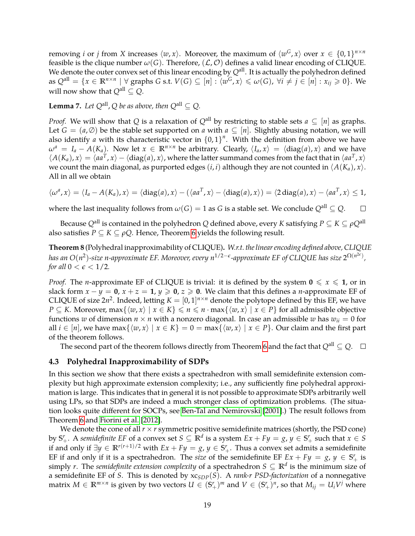removing *i* or *j* from *X* increases  $\langle w, x \rangle$ . Moreover, the maximum of  $\langle w^G, x \rangle$  over  $x \in \{0, 1\}^{n \times n}$ feasible is the clique number  $\omega(G)$ . Therefore,  $(\mathcal{L}, \mathcal{O})$  defines a valid linear encoding of CLIQUE. We denote the outer convex set of this linear encoding by  $Q^{\text{all}}$ . It is actually the polyhedron defined as  $Q^{\text{all}} = \{x \in \mathbb{R}^{n \times n} \mid \forall \text{ graphs } G \text{ s.t. } V(G) \subseteq [n] : \langle w^G, x \rangle \leqslant \omega(G), \ \forall i \neq j \in [n] : x_{ij} \geqslant 0 \}.$  We will now show that  $Q^{\text{all}} \subset Q$ .

**Lemma 7.** Let  $Q^{\text{all}}$  ,  $Q$  be as above, then  $Q^{\text{all}} \subseteq Q$ .

*Proof.* We will show that *Q* is a relaxation of  $Q^{\text{all}}$  by restricting to stable sets  $a \subseteq [n]$  as graphs. Let  $G = (a, \emptyset)$  be the stable set supported on *a* with  $a \subseteq [n]$ . Slightly abusing notation, we will also identify *a* with its characteristic vector in  ${0,1}^n$ . With the definition from above we have  $\omega^a = I_a - A(K_a)$ . Now let  $x \in \mathbb{R}^{n \times n}$  be arbitrary. Clearly,  $\langle I_a, x \rangle = \langle \text{diag}(a), x \rangle$  and we have  $\langle A(K_a), x \rangle = \langle aa^T, x \rangle - \langle diag(a), x \rangle$ , where the latter summand comes from the fact that in  $\langle aa^T, x \rangle$ we count the main diagonal, as purported edges  $(i, i)$  although they are not counted in  $\langle A(K_a), x \rangle$ . All in all we obtain

$$
\langle \omega^a, x \rangle = \langle I_a - A(K_a), x \rangle = \langle \text{diag}(a), x \rangle - (\langle a a^T, x \rangle - \langle \text{diag}(a), x \rangle) = \langle 2 \text{diag}(a), x \rangle - \langle a a^T, x \rangle \leq 1,
$$

where the last inequality follows from  $\omega(G) = 1$  as *G* is a stable set. We conclude  $Q^{\text{all}} \subseteq Q$ .  $\Box$ 

Because  $Q^{\text{all}}$  is contained in the polyhedron *Q* defined above, every *K* satisfying  $P \subseteq K \subseteq \rho Q^{\text{all}}$ also satisfies *P*  $\subseteq$  *K*  $\subseteq$  *ρQ*. Hence, Theorem [6](#page-17-1) yields the following result.

**Theorem 8** (Polyhedral inapproximability of CLIQUE)**.** *W.r.t. the linear encoding defined above, CLIQUE has an O*(*n* 2 )*-size n-approximate EF. Moreover, every n* 1/2−*e -approximate EF of CLIQUE has size* 2 Ω(*n* 2*e* ) *, for all*  $0 < \epsilon < 1/2$ *.* 

*Proof.* The *n*-approximate EF of CLIQUE is trivial: it is defined by the system  $0 \le x \le 1$ , or in slack form  $x - y = 0$ ,  $x + z = 1$ ,  $y \ge 0$ ,  $z \ge 0$ . We claim that this defines a *n*-approximate EF of CLIQUE of size  $2n^2$ . Indeed, letting  $K = [0, 1]^{n \times n}$  denote the polytope defined by this EF, we have *P* ⊆ *K*. Moreover, max{ $\langle w, x \rangle$  |  $x \in K$ }  $\le n \le n \cdot \max{\langle w, x \rangle | x \in P}$  for all admissible objective functions *w* of dimension  $n \times n$  with a nonzero diagonal. In case an admissible *w* has  $w_{ii} = 0$  for all  $i \in [n]$ , we have max $\{\langle w, x \rangle \mid x \in K\} = 0 = \max\{\langle w, x \rangle \mid x \in P\}$ . Our claim and the first part of the theorem follows.

The second part of the theorem follows directly from Theorem [6](#page-17-1) and the fact that  $Q^{\text{all}} \subseteq Q$ .  $\square$ 

#### **4.3 Polyhedral Inapproximability of SDPs**

In this section we show that there exists a spectrahedron with small semidefinite extension complexity but high approximate extension complexity; i.e., any sufficiently fine polyhedral approximation is large. This indicates that in general it is not possible to approximate SDPs arbitrarily well using LPs, so that SDPs are indeed a much stronger class of optimization problems. (The situation looks quite different for SOCPs, see [Ben-Tal and Nemirovski](#page-20-10) [\[2001\]](#page-20-10).) The result follows from Theorem [6](#page-17-1) and [Fiorini et al.](#page-21-7) [\[2012\]](#page-21-7).

We denote the cone of all  $r \times r$  symmetric positive semidefinite matrices (shortly, the PSD cone) by  $\mathbb{S}^r_+$ . A *semidefinite EF* of a convex set  $S\subseteq\mathbb{R}^d$  is a system  $Ex+ F y=g$ ,  $y\in\mathbb{S}^r_+$  such that  $x\in S$ if and only if  $\exists y \in \mathbb{R}^{r(r+1)/2}$  with  $Ex + Fy = g$ ,  $y \in S'_+$ . Thus a convex set admits a semidefinite EF if and only if it is a spectrahedron. The *size* of the semidefinite EF  $Ex + Fy = g$ ,  $y \in S'_+$  is simply *r*. The *semidefinite extension complexity* of a spectrahedron  $S \subseteq \mathbb{R}^d$  is the minimum size of a semidefinite EF of *S*. This is denoted by xc*SDP*(*S*). A *rank-r PSD-factorization* of a nonnegative matrix  $M \in \mathbb{R}^{m \times n}$  is given by two vectors  $U \in (\mathbb{S}'_+)^m$  and  $V \in (\mathbb{S}'_+)^n$ , so that  $M_{ij} = U_i V^j$  where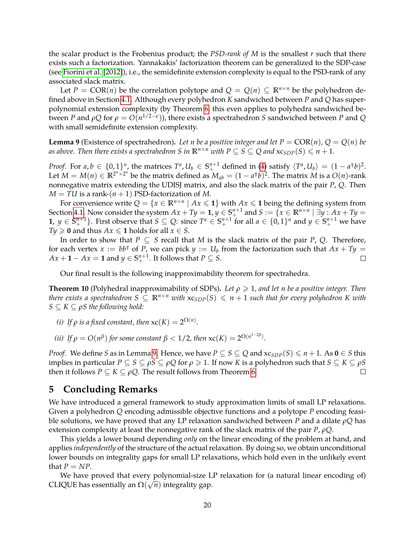the scalar product is the Frobenius product; the *PSD-rank of M* is the smallest *r* such that there exists such a factorization. Yannakakis' factorization theorem can be generalized to the SDP-case (see [Fiorini et al.](#page-21-7) [\[2012\]](#page-21-7)), i.e., the semidefinite extension complexity is equal to the PSD-rank of any associated slack matrix.

Let  $P = \text{COR}(n)$  be the correlation polytope and  $Q = Q(n) \subseteq \mathbb{R}^{n \times n}$  be the polyhedron defined above in Section [4.1.](#page-17-2) Although every polyhedron *K* sandwiched between *P* and *Q* has superpolynomial extension complexity (by Theorem [6,](#page-17-1) this even applies to polyhedra sandwiched between *P* and *ρQ* for *ρ* = *O*(*n* 1/2−*e* )), there exists a spectrahedron *S* sandwiched between *P* and *Q* with small semidefinite extension complexity.

<span id="page-19-0"></span>**Lemma 9** (Existence of spectrahedron). Let *n* be a positive integer and let  $P = \text{COR}(n)$ ,  $Q = Q(n)$  be *as above. Then there exists a spectrahedron S in*  $\mathbb{R}^{n \times n}$  *with*  $P \subseteq S \subseteq Q$  *and*  $x c_{SDP}(S) \leq n + 1$ *.* 

*Proof.* For  $a, b \in \{0, 1\}^n$ , the matrices  $T^a, U_b \in S^{n+1}_+$  defined in [\(4\)](#page-9-2) satisfy  $\langle T^a, U_b \rangle = (1 - a^{\dagger}b)^2$ . Let  $M = M(n) \in \mathbb{R}^{2^n \times 2^n}$  be the matrix defined as  $M_{ab} = (1 - a^Tb)^2$ . The matrix M is a  $O(n)$ -rank nonnegative matrix extending the UDISJ matrix, and also the slack matrix of the pair *P*, *Q*. Then  $M = TU$  is a rank- $(n + 1)$  PSD-factorization of M.

For convenience write  $Q = \{x \in \mathbb{R}^{n \times n} \mid Ax \leqslant 1\}$  with  $Ax \leqslant 1$  being the defining system from Section [4.1.](#page-17-2) Now consider the system  $Ax + Ty = 1$ ,  $y \in \mathbb{S}^{n+1}_+$  and  $S := \{x \in \mathbb{R}^{n \times n} \mid \exists y : Ax + Ty = 1\}$ **1**,  $y \in S^{n+1}_+$ . First observe that  $S \subseteq Q$ : since  $T^a \in S^{n+1}_+$  for all  $a \in \{0,1\}^n$  and  $y \in S^{n+1}_+$  we have *Ty*  $\geq$  **0** and thus *Ax*  $\leq$  **1** holds for all *x*  $\in$  *S*.

In order to show that  $P \subseteq S$  recall that *M* is the slack matrix of the pair *P*, *Q*. Therefore, for each vertex  $x := bb^{\dagger}$  of  $\overline{P}$ , we can pick  $y := U_b$  from the factorization such that  $Ax + Ty =$  $Ax + \mathbf{1} - Ax = \mathbf{1}$  and  $y \in \mathbb{S}^{n+1}_+$ . It follows that  $P \subseteq S$ .  $\Box$ 

Our final result is the following inapproximability theorem for spectrahedra.

**Theorem 10** (Polyhedral inapproximability of SDPs). Let  $\rho \geq 1$ , and let *n* be a positive integer. Then *there exists a spectrahedron*  $S \subseteq \mathbb{R}^{n \times n}$  *with*  $x c_{SDP}(S) \leq n + 1$  *such that for every polyhedron K with*  $S \subseteq K \subseteq \rho S$  *the following hold:* 

- *(i) If*  $\rho$  *is a fixed constant, then*  $xc(K) = 2^{\Omega(n)}$ *.*
- (*ii*) If  $\rho = O(n^{\beta})$  for some constant  $\beta < 1/2$ , then  $xc(K) = 2^{\Omega(n^{1-2\beta})}$ .

*Proof.* We define *S* as in Lemma [9.](#page-19-0) Hence, we have  $P \subseteq S \subseteq Q$  and  $x_{SDP}(S) \le n + 1$ . As  $0 \in S$  this implies in particular *P* ⊆ *S* ⊆ *ρS* ⊆ *ρQ* for *ρ* > 1. If now *K* is a polyhedron such that *S* ⊆ *K* ⊆ *ρS* then it follows *P*  $\subseteq$  *K*  $\subseteq$  *ρQ*. The result follows from Theorem [6.](#page-17-1)  $\Box$ 

# **5 Concluding Remarks**

We have introduced a general framework to study approximation limits of small LP relaxations. Given a polyhedron *Q* encoding admissible objective functions and a polytope *P* encoding feasible solutions, we have proved that any LP relaxation sandwiched between *P* and a dilate *ρQ* has extension complexity at least the nonnegative rank of the slack matrix of the pair *P*, *ρQ*.

This yields a lower bound depending *only* on the linear encoding of the problem at hand, and applies *independently* of the structure of the actual relaxation. By doing so, we obtain unconditional lower bounds on integrality gaps for small LP relaxations, which hold even in the unlikely event that  $P = NP$ .

We have proved that every polynomial-size LP relaxation for (a natural linear encoding of) CLIQUE has essentially an  $\Omega(\sqrt{n})$  integrality gap.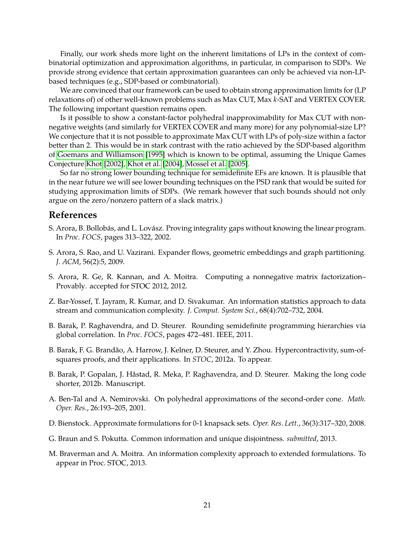Finally, our work sheds more light on the inherent limitations of LPs in the context of combinatorial optimization and approximation algorithms, in particular, in comparison to SDPs. We provide strong evidence that certain approximation guarantees can only be achieved via non-LPbased techniques (e.g., SDP-based or combinatorial).

We are convinced that our framework can be used to obtain strong approximation limits for (LP relaxations of) of other well-known problems such as Max CUT, Max *k*-SAT and VERTEX COVER. The following important question remains open.

Is it possible to show a constant-factor polyhedral inapproximability for Max CUT with nonnegative weights (and similarly for VERTEX COVER and many more) for any polynomial-size LP? We conjecture that it is not possible to approximate Max CUT with LPs of poly-size within a factor better than 2. This would be in stark contrast with the ratio achieved by the SDP-based algorithm of [Goemans and Williamson](#page-21-16) [\[1995\]](#page-21-16) which is known to be optimal, assuming the Unique Games Conjecture [Khot](#page-21-17) [\[2002\]](#page-21-17), [Khot et al.](#page-21-18) [\[2004\]](#page-21-18), [Mossel et al.](#page-22-19) [\[2005\]](#page-22-19).

So far no strong lower bounding technique for semidefinite EFs are known. It is plausible that in the near future we will see lower bounding techniques on the PSD rank that would be suited for studying approximation limits of SDPs. (We remark however that such bounds should not only argue on the zero/nonzero pattern of a slack matrix.)

# **References**

- <span id="page-20-0"></span>S. Arora, B. Bollobás, and L. Lovász. Proving integrality gaps without knowing the linear program. In *Proc. FOCS*, pages 313–322, 2002.
- <span id="page-20-2"></span>S. Arora, S. Rao, and U. Vazirani. Expander flows, geometric embeddings and graph partitioning. *J. ACM*, 56(2):5, 2009.
- <span id="page-20-7"></span>S. Arora, R. Ge, R. Kannan, and A. Moitra. Computing a nonnegative matrix factorization– Provably. accepted for STOC 2012, 2012.
- <span id="page-20-1"></span>Z. Bar-Yossef, T. Jayram, R. Kumar, and D. Sivakumar. An information statistics approach to data stream and communication complexity. *J. Comput. System Sci.*, 68(4):702–732, 2004.
- <span id="page-20-3"></span>B. Barak, P. Raghavendra, and D. Steurer. Rounding semidefinite programming hierarchies via global correlation. In *Proc. FOCS*, pages 472–481. IEEE, 2011.
- <span id="page-20-5"></span>B. Barak, F. G. Brandão, A. Harrow, J. Kelner, D. Steurer, and Y. Zhou. Hypercontractivity, sum-ofsquares proofs, and their applications. In *STOC*, 2012a. To appear.
- <span id="page-20-4"></span>B. Barak, P. Gopalan, J. Håstad, R. Meka, P. Raghavendra, and D. Steurer. Making the long code shorter, 2012b. Manuscript.
- <span id="page-20-10"></span>A. Ben-Tal and A. Nemirovski. On polyhedral approximations of the second-order cone. *Math. Oper. Res.*, 26:193–205, 2001.
- <span id="page-20-6"></span>D. Bienstock. Approximate formulations for 0-1 knapsack sets. *Oper. Res. Lett.*, 36(3):317–320, 2008.
- <span id="page-20-9"></span>G. Braun and S. Pokutta. Common information and unique disjointness. *submitted*, 2013.
- <span id="page-20-8"></span>M. Braverman and A. Moitra. An information complexity approach to extended formulations. To appear in Proc. STOC, 2013.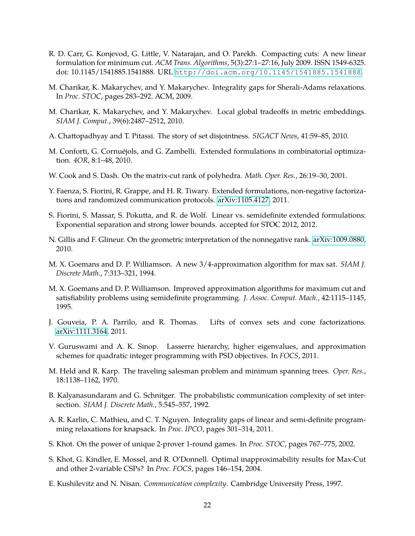- <span id="page-21-1"></span>R. D. Carr, G. Konjevod, G. Little, V. Natarajan, and O. Parekh. Compacting cuts: A new linear formulation for minimum cut. *ACM Trans. Algorithms*, 5(3):27:1–27:16, July 2009. ISSN 1549-6325. doi: 10.1145/1541885.1541888. URL <http://doi.acm.org/10.1145/1541885.1541888>.
- <span id="page-21-8"></span>M. Charikar, K. Makarychev, and Y. Makarychev. Integrality gaps for Sherali-Adams relaxations. In *Proc. STOC*, pages 283–292. ACM, 2009.
- <span id="page-21-9"></span>M. Charikar, K. Makarychev, and Y. Makarychev. Local global tradeoffs in metric embeddings. *SIAM J. Comput.*, 39(6):2487–2512, 2010.
- <span id="page-21-4"></span>A. Chattopadhyay and T. Pitassi. The story of set disjointness. *SIGACT News*, 41:59–85, 2010.
- <span id="page-21-2"></span>M. Conforti, G. Cornuéjols, and G. Zambelli. Extended formulations in combinatorial optimization. *4OR*, 8:1–48, 2010.
- <span id="page-21-11"></span>W. Cook and S. Dash. On the matrix-cut rank of polyhedra. *Math. Oper. Res.*, 26:19–30, 2001.
- <span id="page-21-3"></span>Y. Faenza, S. Fiorini, R. Grappe, and H. R. Tiwary. Extended formulations, non-negative factorizations and randomized communication protocols. [arXiv:1105.4127,](http://arxiv.org/abs/1105.4127) 2011.
- <span id="page-21-7"></span>S. Fiorini, S. Massar, S. Pokutta, and R. de Wolf. Linear vs. semidefinite extended formulations: Exponential separation and strong lower bounds. accepted for STOC 2012, 2012.
- <span id="page-21-13"></span>N. Gillis and F. Glineur. On the geometric interpretation of the nonnegative rank. [arXiv:1009.0880,](http://arxiv.org/abs/1009.0880) 2010.
- <span id="page-21-15"></span>M. X. Goemans and D. P. Williamson. A new 3/4-approximation algorithm for max sat. *SIAM J. Discrete Math.*, 7:313–321, 1994.
- <span id="page-21-16"></span>M. X. Goemans and D. P. Williamson. Improved approximation algorithms for maximum cut and satisfiability problems using semidefinite programming. *J. Assoc. Comput. Mach.*, 42:1115–1145, 1995.
- <span id="page-21-14"></span>J. Gouveia, P. A. Parrilo, and R. Thomas. Lifts of convex sets and cone factorizations. [arXiv:1111.3164,](http://arxiv.org/abs/1111.3164) 2011.
- <span id="page-21-12"></span>V. Guruswami and A. K. Sinop. Lasserre hierarchy, higher eigenvalues, and approximation schemes for quadratic integer programming with PSD objectives. In *FOCS*, 2011.
- <span id="page-21-0"></span>M. Held and R. Karp. The traveling salesman problem and minimum spanning trees. *Oper. Res.*, 18:1138–1162, 1970.
- <span id="page-21-6"></span>B. Kalyanasundaram and G. Schnitger. The probabilistic communication complexity of set intersection. *SIAM J. Discrete Math.*, 5:545–557, 1992.
- <span id="page-21-10"></span>A. R. Karlin, C. Mathieu, and C. T. Nguyen. Integrality gaps of linear and semi-definite programming relaxations for knapsack. In *Proc. IPCO*, pages 301–314, 2011.
- <span id="page-21-17"></span>S. Khot. On the power of unique 2-prover 1-round games. In *Proc. STOC*, pages 767–775, 2002.
- <span id="page-21-18"></span>S. Khot, G. Kindler, E. Mossel, and R. O'Donnell. Optimal inapproximability results for Max-Cut and other 2-variable CSPs? In *Proc. FOCS*, pages 146–154, 2004.
- <span id="page-21-5"></span>E. Kushilevitz and N. Nisan. *Communication complexity*. Cambridge University Press, 1997.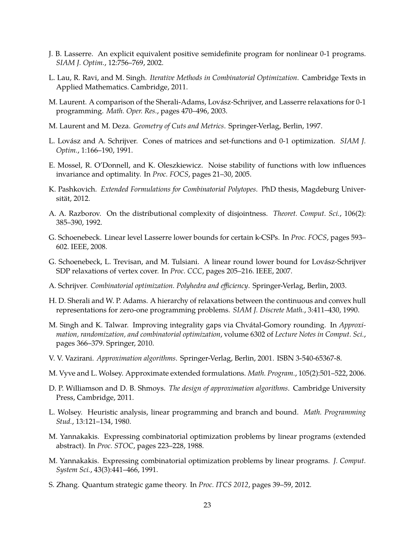- <span id="page-22-13"></span>J. B. Lasserre. An explicit equivalent positive semidefinite program for nonlinear 0-1 programs. *SIAM J. Optim.*, 12:756–769, 2002.
- <span id="page-22-2"></span>L. Lau, R. Ravi, and M. Singh. *Iterative Methods in Combinatorial Optimization*. Cambridge Texts in Applied Mathematics. Cambridge, 2011.
- <span id="page-22-11"></span>M. Laurent. A comparison of the Sherali-Adams, Lovász-Schrijver, and Lasserre relaxations for 0-1 programming. *Math. Oper. Res.*, pages 470–496, 2003.
- <span id="page-22-18"></span>M. Laurent and M. Deza. *Geometry of Cuts and Metrics*. Springer-Verlag, Berlin, 1997.
- <span id="page-22-4"></span>L. Lovász and A. Schrijver. Cones of matrices and set-functions and 0-1 optimization. *SIAM J. Optim.*, 1:166–190, 1991.
- <span id="page-22-19"></span>E. Mossel, R. O'Donnell, and K. Oleszkiewicz. Noise stability of functions with low influences invariance and optimality. In *Proc. FOCS*, pages 21–30, 2005.
- <span id="page-22-17"></span>K. Pashkovich. *Extended Formulations for Combinatorial Polytopes*. PhD thesis, Magdeburg Universität, 2012.
- <span id="page-22-10"></span>A. A. Razborov. On the distributional complexity of disjointness. *Theoret. Comput. Sci.*, 106(2): 385–390, 1992.
- <span id="page-22-14"></span>G. Schoenebeck. Linear level Lasserre lower bounds for certain k-CSPs. In *Proc. FOCS*, pages 593– 602. IEEE, 2008.
- <span id="page-22-15"></span>G. Schoenebeck, L. Trevisan, and M. Tulsiani. A linear round lower bound for Lovász-Schrijver SDP relaxations of vertex cover. In *Proc. CCC*, pages 205–216. IEEE, 2007.
- <span id="page-22-6"></span>A. Schrijver. *Combinatorial optimization. Polyhedra and efficiency*. Springer-Verlag, Berlin, 2003.
- <span id="page-22-3"></span>H. D. Sherali and W. P. Adams. A hierarchy of relaxations between the continuous and convex hull representations for zero-one programming problems. *SIAM J. Discrete Math.*, 3:411–430, 1990.
- <span id="page-22-12"></span>M. Singh and K. Talwar. Improving integrality gaps via Chvátal-Gomory rounding. In *Approximation, randomization, and combinatorial optimization*, volume 6302 of *Lecture Notes in Comput. Sci.*, pages 366–379. Springer, 2010.
- <span id="page-22-0"></span>V. V. Vazirani. *Approximation algorithms*. Springer-Verlag, Berlin, 2001. ISBN 3-540-65367-8.
- <span id="page-22-16"></span>M. Vyve and L. Wolsey. Approximate extended formulations. *Math. Program.*, 105(2):501–522, 2006.
- <span id="page-22-1"></span>D. P. Williamson and D. B. Shmoys. *The design of approximation algorithms*. Cambridge University Press, Cambridge, 2011.
- <span id="page-22-5"></span>L. Wolsey. Heuristic analysis, linear programming and branch and bound. *Math. Programming Stud.*, 13:121–134, 1980.
- <span id="page-22-8"></span>M. Yannakakis. Expressing combinatorial optimization problems by linear programs (extended abstract). In *Proc. STOC*, pages 223–228, 1988.
- <span id="page-22-7"></span>M. Yannakakis. Expressing combinatorial optimization problems by linear programs. *J. Comput. System Sci.*, 43(3):441–466, 1991.
- <span id="page-22-9"></span>S. Zhang. Quantum strategic game theory. In *Proc. ITCS 2012*, pages 39–59, 2012.